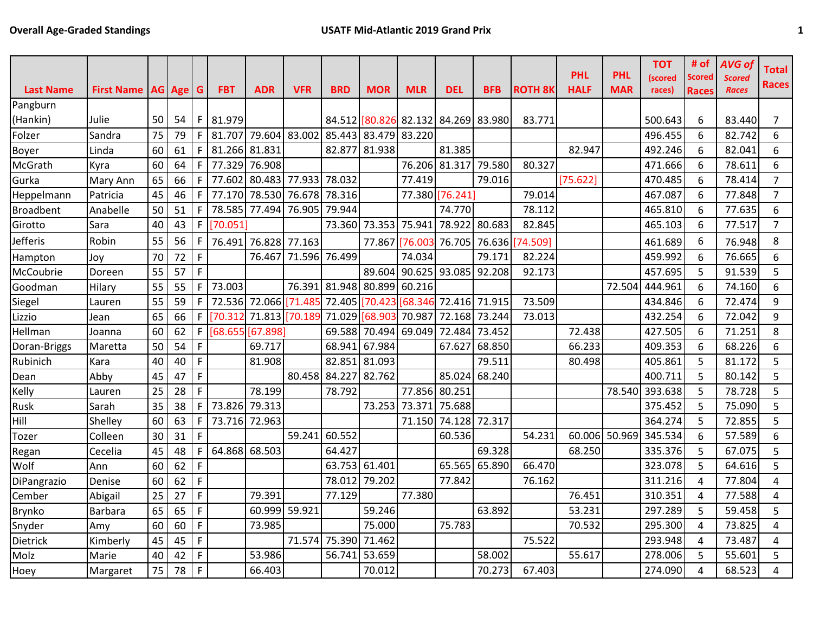|                  |                                |    |    |             |               |               |               |               |                      |                              |            |            |                |             |            | <b>TOT</b>     | # of           | <b>AVG of</b> | Total          |
|------------------|--------------------------------|----|----|-------------|---------------|---------------|---------------|---------------|----------------------|------------------------------|------------|------------|----------------|-------------|------------|----------------|----------------|---------------|----------------|
|                  |                                |    |    |             |               |               |               |               |                      |                              |            |            |                | <b>PHL</b>  | <b>PHL</b> | <i>(scored</i> | Scored         | <b>Scored</b> | Races          |
| <b>Last Name</b> | <b>First Name   AG   Age  </b> |    |    | G           | <b>FBT</b>    | <b>ADR</b>    | <b>VFR</b>    | <b>BRD</b>    | <b>MOR</b>           | <b>MLR</b>                   | <b>DEL</b> | <b>BFB</b> | <b>ROTH 8K</b> | <b>HALF</b> | <b>MAR</b> | races)         | <b>Races</b>   | <b>Races</b>  |                |
| Pangburn         |                                |    |    |             |               |               |               |               |                      |                              |            |            |                |             |            |                |                |               |                |
| (Hankin)         | Julie                          | 50 | 54 | F           | 81.979        |               |               | 84.512        |                      | [80.826 82.132 84.269 83.980 |            |            | 83.771         |             |            | 500.643        | 6              | 83.440        | 7              |
| Folzer           | Sandra                         | 75 | 79 | F           | 81.707        | 79.604 83.002 |               |               | 85.443 83.479 83.220 |                              |            |            |                |             |            | 496.455        | 6              | 82.742        | 6              |
| Boyer            | Linda                          | 60 | 61 | F.          | 81.266        | 81.831        |               | 82.877        | 81.938               |                              | 81.385     |            |                | 82.947      |            | 492.246        | 6              | 82.041        | 6              |
| McGrath          | Kyra                           | 60 | 64 | F           | 77.329        | 76.908        |               |               |                      | 76.206 81.317                |            | 79.580     | 80.327         |             |            | 471.666        | 6              | 78.611        | 6              |
| Gurka            | Mary Ann                       | 65 | 66 | F           | 77.602        | 80.483        | 77.933        | 78.032        |                      | 77.419                       |            | 79.016     |                | [75.622]    |            | 470.485        | 6              | 78.414        | $\overline{7}$ |
| Heppelmann       | Patricia                       | 45 | 46 |             | 77.170        | 78.530        | 76.678        | 78.316        |                      | 77.380 76.241                |            |            | 79.014         |             |            | 467.087        | 6              | 77.848        | $\overline{7}$ |
| <b>Broadbent</b> | Anabelle                       | 50 | 51 | F           | 78.585        | 77.494        | 76.905        | 79.944        |                      |                              | 74.770     |            | 78.112         |             |            | 465.810        | 6              | 77.635        | 6              |
| Girotto          | Sara                           | 40 | 43 | F.          | [70.051]      |               |               | 73.360        | 73.353 75.941        |                              | 78.922     | 80.683     | 82.845         |             |            | 465.103        | 6              | 77.517        | $\overline{7}$ |
| <b>Jefferis</b>  | Robin                          | 55 | 56 |             | 76.491        | 76.828 77.163 |               |               | 77.867 76.003        |                              | 76.705     | 76.636     | 74.509         |             |            | 461.689        | 6              | 76.948        | 8              |
| Hampton          | Joy                            | 70 | 72 | F           |               | 76.467        | 71.596 76.499 |               |                      | 74.034                       |            | 79.171     | 82.224         |             |            | 459.992        | 6              | 76.665        | 6              |
| McCoubrie        | Doreen                         | 55 | 57 | F.          |               |               |               |               | 89.604 90.625        |                              | 93.085     | 92.208     | 92.173         |             |            | 457.695        | 5              | 91.539        | 5              |
| Goodman          | Hilary                         | 55 | 55 | F.          | 73.003        |               | 76.391        | 81.948        | 80.899 60.216        |                              |            |            |                |             | 72.504     | 444.961        | 6              | 74.160        | 6              |
| Siegel           | Lauren                         | 55 | 59 | F           | 72.536        | 72.066        | [71.485       | 72.405        | 70.42                | 68.346                       | 72.416     | 71.915     | 73.509         |             |            | 434.846        | 6              | 72.474        | 9              |
| Lizzio           | Jean                           | 65 | 66 | F.          | [70.312]      | 71.813        | [70.189]      | 71.029        | [68.903              | 70.987                       | 72.168     | 73.244     | 73.013         |             |            | 432.254        | 6              | 72.042        | 9              |
| Hellman          | Joanna                         | 60 | 62 | F.          | [68.655]      | [67.898]      |               | 69.588        | 70.494 69.049        |                              | 72.484     | 73.452     |                | 72.438      |            | 427.505        | 6              | 71.251        | 8              |
| Doran-Briggs     | Maretta                        | 50 | 54 | F.          |               | 69.717        |               | 68.941        | 67.984               |                              | 67.627     | 68.850     |                | 66.233      |            | 409.353        | 6              | 68.226        | 6              |
| Rubinich         | Kara                           | 40 | 40 | F.          |               | 81.908        |               | 82.851        | 81.093               |                              |            | 79.511     |                | 80.498      |            | 405.861        | 5              | 81.172        | 5              |
| Dean             | Abby                           | 45 | 47 | F           |               |               | 80.458        | 84.227        | 82.762               |                              | 85.024     | 68.240     |                |             |            | 400.711        | 5              | 80.142        | 5              |
| Kelly            | Lauren                         | 25 | 28 | F           |               | 78.199        |               | 78.792        |                      | 77.856 80.251                |            |            |                |             | 78.540     | 393.638        | 5              | 78.728        | 5              |
| Rusk             | Sarah                          | 35 | 38 | F           | 73.826        | 79.313        |               |               | 73.253               | 73.371                       | 75.688     |            |                |             |            | 375.452        | 5              | 75.090        | 5              |
| Hill             | Shelley                        | 60 | 63 | F           | 73.716        | 72.963        |               |               |                      | 71.150                       | 74.128     | 72.317     |                |             |            | 364.274        | 5              | 72.855        | 5              |
| Tozer            | Colleen                        | 30 | 31 | F.          |               |               | 59.241        | 60.552        |                      |                              | 60.536     |            | 54.231         | 60.006      | 50.969     | 345.534        | 6              | 57.589        | 6              |
| Regan            | Cecelia                        | 45 | 48 |             | 64.868 68.503 |               |               | 64.427        |                      |                              |            | 69.328     |                | 68.250      |            | 335.376        | 5              | 67.075        | 5              |
| Wolf             | Ann                            | 60 | 62 | F           |               |               |               | 63.753        | 61.401               |                              | 65.565     | 65.890     | 66.470         |             |            | 323.078        | 5              | 64.616        | 5              |
| DiPangrazio      | Denise                         | 60 | 62 | F           |               |               |               | 78.012        | 79.202               |                              | 77.842     |            | 76.162         |             |            | 311.216        | $\overline{4}$ | 77.804        | 4              |
| Cember           | Abigail                        | 25 | 27 | $\mathsf F$ |               | 79.391        |               | 77.129        |                      | 77.380                       |            |            |                | 76.451      |            | 310.351        | 4              | 77.588        | 4              |
| Brynko           | Barbara                        | 65 | 65 | F           |               | 60.999 59.921 |               |               | 59.246               |                              |            | 63.892     |                | 53.231      |            | 297.289        | 5              | 59.458        | 5              |
| Snyder           | Amy                            | 60 | 60 | F           |               | 73.985        |               |               | 75.000               |                              | 75.783     |            |                | 70.532      |            | 295.300        | 4              | 73.825        | 4              |
| Dietrick         | Kimberly                       | 45 | 45 | F           |               |               |               | 71.574 75.390 | 71.462               |                              |            |            | 75.522         |             |            | 293.948        | 4              | 73.487        | 4              |
| Molz             | Marie                          | 40 | 42 | F           |               | 53.986        |               | 56.741        | 53.659               |                              |            | 58.002     |                | 55.617      |            | 278.006        | 5              | 55.601        | 5              |
| Hoey             | Margaret                       | 75 | 78 | F.          |               | 66.403        |               |               | 70.012               |                              |            | 70.273     | 67.403         |             |            | 274.090        | 4              | 68.523        | 4              |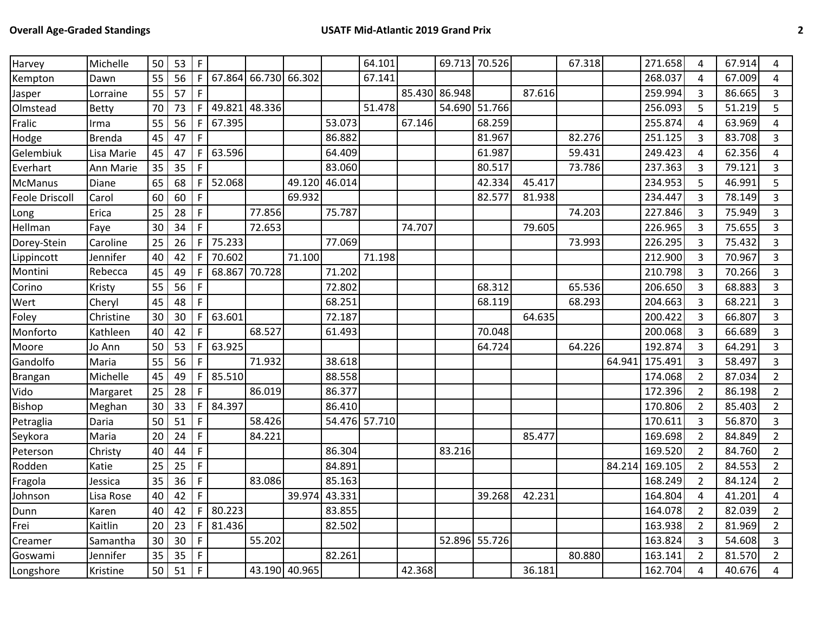| Harvey                | Michelle      | 50 | 53 | F  |        |               |        |        | 64.101        |               |        | 69.713 70.526 |        | 67.318 |        | 271.658 | 4              | 67.914 | 4              |
|-----------------------|---------------|----|----|----|--------|---------------|--------|--------|---------------|---------------|--------|---------------|--------|--------|--------|---------|----------------|--------|----------------|
| Kempton               | Dawn          | 55 | 56 | F  | 67.864 | 66.730 66.302 |        |        | 67.141        |               |        |               |        |        |        | 268.037 | 4              | 67.009 | 4              |
| Jasper                | Lorraine      | 55 | 57 | F  |        |               |        |        |               | 85.430 86.948 |        |               | 87.616 |        |        | 259.994 | 3              | 86.665 | 3              |
| Olmstead              | Betty         | 70 | 73 | F. | 49.821 | 48.336        |        |        | 51.478        |               |        | 54.690 51.766 |        |        |        | 256.093 | 5              | 51.219 | 5              |
| Fralic                | Irma          | 55 | 56 | F. | 67.395 |               |        | 53.073 |               | 67.146        |        | 68.259        |        |        |        | 255.874 | 4              | 63.969 | 4              |
| Hodge                 | <b>Brenda</b> | 45 | 47 | F  |        |               |        | 86.882 |               |               |        | 81.967        |        | 82.276 |        | 251.125 | 3              | 83.708 | 3              |
| Gelembiuk             | Lisa Marie    | 45 | 47 | F. | 63.596 |               |        | 64.409 |               |               |        | 61.987        |        | 59.431 |        | 249.423 | 4              | 62.356 | 4              |
| Everhart              | Ann Marie     | 35 | 35 | F. |        |               |        | 83.060 |               |               |        | 80.517        |        | 73.786 |        | 237.363 | 3              | 79.121 | 3              |
| <b>McManus</b>        | Diane         | 65 | 68 | F  | 52.068 |               | 49.120 | 46.014 |               |               |        | 42.334        | 45.417 |        |        | 234.953 | 5              | 46.991 | 5              |
| <b>Feole Driscoll</b> | Carol         | 60 | 60 | F  |        |               | 69.932 |        |               |               |        | 82.577        | 81.938 |        |        | 234.447 | 3              | 78.149 | 3              |
| Long                  | Erica         | 25 | 28 | F  |        | 77.856        |        | 75.787 |               |               |        |               |        | 74.203 |        | 227.846 | 3              | 75.949 | 3              |
| Hellman               | Faye          | 30 | 34 | F. |        | 72.653        |        |        |               | 74.707        |        |               | 79.605 |        |        | 226.965 | 3              | 75.655 | 3              |
| Dorey-Stein           | Caroline      | 25 | 26 | F. | 75.233 |               |        | 77.069 |               |               |        |               |        | 73.993 |        | 226.295 | 3              | 75.432 | 3              |
| Lippincott            | Jennifer      | 40 | 42 | F. | 70.602 |               | 71.100 |        | 71.198        |               |        |               |        |        |        | 212.900 | $\mathbf{3}$   | 70.967 | 3              |
| Montini               | Rebecca       | 45 | 49 | F  | 68.867 | 70.728        |        | 71.202 |               |               |        |               |        |        |        | 210.798 | 3              | 70.266 | 3              |
| Corino                | Kristy        | 55 | 56 | F  |        |               |        | 72.802 |               |               |        | 68.312        |        | 65.536 |        | 206.650 | 3              | 68.883 | 3              |
| Wert                  | Cheryl        | 45 | 48 | F  |        |               |        | 68.251 |               |               |        | 68.119        |        | 68.293 |        | 204.663 | $\overline{3}$ | 68.221 | 3              |
| Foley                 | Christine     | 30 | 30 | F  | 63.601 |               |        | 72.187 |               |               |        |               | 64.635 |        |        | 200.422 | 3              | 66.807 | 3              |
| Monforto              | Kathleen      | 40 | 42 | F  |        | 68.527        |        | 61.493 |               |               |        | 70.048        |        |        |        | 200.068 | 3              | 66.689 | 3              |
| Moore                 | Jo Ann        | 50 | 53 | F. | 63.925 |               |        |        |               |               |        | 64.724        |        | 64.226 |        | 192.874 | 3              | 64.291 | 3              |
| Gandolfo              | Maria         | 55 | 56 | F  |        | 71.932        |        | 38.618 |               |               |        |               |        |        | 64.941 | 175.491 | 3              | 58.497 | 3              |
| Brangan               | Michelle      | 45 | 49 | F  | 85.510 |               |        | 88.558 |               |               |        |               |        |        |        | 174.068 | $\overline{2}$ | 87.034 | $\overline{2}$ |
| Vido                  | Margaret      | 25 | 28 | F  |        | 86.019        |        | 86.377 |               |               |        |               |        |        |        | 172.396 | $\overline{2}$ | 86.198 | $\overline{2}$ |
| <b>Bishop</b>         | Meghan        | 30 | 33 | F. | 84.397 |               |        | 86.410 |               |               |        |               |        |        |        | 170.806 | $\overline{2}$ | 85.403 | $\overline{2}$ |
| Petraglia             | Daria         | 50 | 51 | F  |        | 58.426        |        |        | 54.476 57.710 |               |        |               |        |        |        | 170.611 | 3              | 56.870 | 3              |
| Seykora               | Maria         | 20 | 24 | F  |        | 84.221        |        |        |               |               |        |               | 85.477 |        |        | 169.698 | $\overline{2}$ | 84.849 | $\overline{2}$ |
| Peterson              | Christy       | 40 | 44 | F  |        |               |        | 86.304 |               |               | 83.216 |               |        |        |        | 169.520 | $\overline{2}$ | 84.760 | $\overline{2}$ |
| Rodden                | Katie         | 25 | 25 | F  |        |               |        | 84.891 |               |               |        |               |        |        | 84.214 | 169.105 | $\overline{2}$ | 84.553 | $\overline{2}$ |
| Fragola               | Jessica       | 35 | 36 | F  |        | 83.086        |        | 85.163 |               |               |        |               |        |        |        | 168.249 | $\overline{2}$ | 84.124 | $\overline{2}$ |
| Johnson               | Lisa Rose     | 40 | 42 | F. |        |               | 39.974 | 43.331 |               |               |        | 39.268        | 42.231 |        |        | 164.804 | 4              | 41.201 | $\overline{4}$ |
| Dunn                  | Karen         | 40 | 42 | F  | 80.223 |               |        | 83.855 |               |               |        |               |        |        |        | 164.078 | $\overline{2}$ | 82.039 | $\overline{2}$ |
| Frei                  | Kaitlin       | 20 | 23 | F  | 81.436 |               |        | 82.502 |               |               |        |               |        |        |        | 163.938 | $\overline{2}$ | 81.969 | $\overline{2}$ |
| Creamer               | Samantha      | 30 | 30 | F  |        | 55.202        |        |        |               |               |        | 52.896 55.726 |        |        |        | 163.824 | 3              | 54.608 | 3              |
| Goswami               | Jennifer      | 35 | 35 | F  |        |               |        | 82.261 |               |               |        |               |        | 80.880 |        | 163.141 | $\overline{2}$ | 81.570 | $\overline{2}$ |
| Longshore             | Kristine      | 50 | 51 | F  |        | 43.190 40.965 |        |        |               | 42.368        |        |               | 36.181 |        |        | 162.704 | 4              | 40.676 | 4              |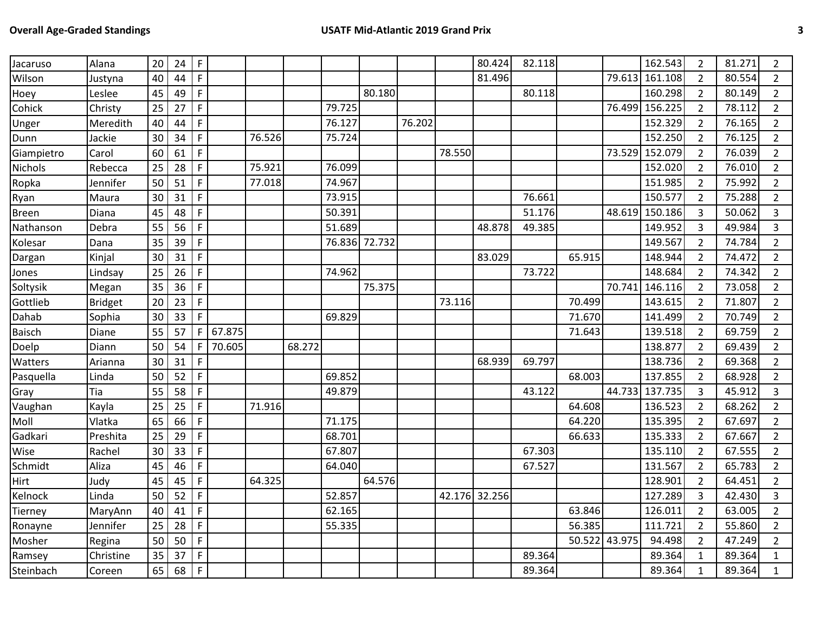| Jacaruso       | Alana     | 20 | 24 | F           |        |        |        |        |        |        |        | 80.424        | 82.118 |               |        | 162.543 | $\overline{2}$ | 81.271 | $\overline{2}$ |
|----------------|-----------|----|----|-------------|--------|--------|--------|--------|--------|--------|--------|---------------|--------|---------------|--------|---------|----------------|--------|----------------|
| Wilson         | Justyna   | 40 | 44 | F           |        |        |        |        |        |        |        | 81.496        |        |               | 79.613 | 161.108 | $\overline{2}$ | 80.554 | $\overline{2}$ |
| Hoey           | Leslee    | 45 | 49 | F           |        |        |        |        | 80.180 |        |        |               | 80.118 |               |        | 160.298 | $\overline{2}$ | 80.149 | $\overline{2}$ |
| Cohick         | Christy   | 25 | 27 | F           |        |        |        | 79.725 |        |        |        |               |        |               | 76.499 | 156.225 | $\overline{2}$ | 78.112 | $2^{\circ}$    |
| Unger          | Meredith  | 40 | 44 | F           |        |        |        | 76.127 |        | 76.202 |        |               |        |               |        | 152.329 | $\overline{2}$ | 76.165 | $\overline{2}$ |
| Dunn           | Jackie    | 30 | 34 | $\mathsf F$ |        | 76.526 |        | 75.724 |        |        |        |               |        |               |        | 152.250 | $\overline{2}$ | 76.125 | $\overline{2}$ |
| Giampietro     | Carol     | 60 | 61 | $\mathsf F$ |        |        |        |        |        |        | 78.550 |               |        |               | 73.529 | 152.079 | $\overline{2}$ | 76.039 | $\overline{2}$ |
| <b>Nichols</b> | Rebecca   | 25 | 28 | F           |        | 75.921 |        | 76.099 |        |        |        |               |        |               |        | 152.020 | $\overline{2}$ | 76.010 | $2^{\circ}$    |
| Ropka          | Jennifer  | 50 | 51 | $\mathsf F$ |        | 77.018 |        | 74.967 |        |        |        |               |        |               |        | 151.985 | $\overline{2}$ | 75.992 | $\overline{2}$ |
| Ryan           | Maura     | 30 | 31 | F           |        |        |        | 73.915 |        |        |        |               | 76.661 |               |        | 150.577 | $\overline{2}$ | 75.288 | $\overline{2}$ |
| <b>Breen</b>   | Diana     | 45 | 48 | F           |        |        |        | 50.391 |        |        |        |               | 51.176 |               | 48.619 | 150.186 | 3              | 50.062 | $\overline{3}$ |
| Nathanson      | Debra     | 55 | 56 | F           |        |        |        | 51.689 |        |        |        | 48.878        | 49.385 |               |        | 149.952 | 3              | 49.984 | 3              |
| Kolesar        | Dana      | 35 | 39 | F           |        |        |        | 76.836 | 72.732 |        |        |               |        |               |        | 149.567 | $\overline{2}$ | 74.784 | $2^{\circ}$    |
| Dargan         | Kinjal    | 30 | 31 | F           |        |        |        |        |        |        |        | 83.029        |        | 65.915        |        | 148.944 | $\overline{2}$ | 74.472 | $\overline{2}$ |
| Jones          | Lindsay   | 25 | 26 | F           |        |        |        | 74.962 |        |        |        |               | 73.722 |               |        | 148.684 | $\overline{2}$ | 74.342 | $\overline{2}$ |
| Soltysik       | Megan     | 35 | 36 | F           |        |        |        |        | 75.375 |        |        |               |        |               | 70.741 | 146.116 | $\overline{2}$ | 73.058 | $\overline{2}$ |
| Gottlieb       | Bridget   | 20 | 23 | F           |        |        |        |        |        |        | 73.116 |               |        | 70.499        |        | 143.615 | $\overline{2}$ | 71.807 | $\overline{2}$ |
| Dahab          | Sophia    | 30 | 33 | F           |        |        |        | 69.829 |        |        |        |               |        | 71.670        |        | 141.499 | $\overline{2}$ | 70.749 | $\overline{2}$ |
| Baisch         | Diane     | 55 | 57 | F           | 67.875 |        |        |        |        |        |        |               |        | 71.643        |        | 139.518 | $\overline{2}$ | 69.759 | $\overline{2}$ |
| Doelp          | Diann     | 50 | 54 | F.          | 70.605 |        | 68.272 |        |        |        |        |               |        |               |        | 138.877 | $\overline{2}$ | 69.439 | $\overline{2}$ |
| Watters        | Arianna   | 30 | 31 | F           |        |        |        |        |        |        |        | 68.939        | 69.797 |               |        | 138.736 | $\overline{2}$ | 69.368 | $\overline{2}$ |
| Pasquella      | Linda     | 50 | 52 | $\mathsf F$ |        |        |        | 69.852 |        |        |        |               |        | 68.003        |        | 137.855 | $\overline{2}$ | 68.928 | $\overline{2}$ |
| Gray           | Tia       | 55 | 58 | F           |        |        |        | 49.879 |        |        |        |               | 43.122 |               | 44.733 | 137.735 | 3              | 45.912 | 3              |
| Vaughan        | Kayla     | 25 | 25 | F           |        | 71.916 |        |        |        |        |        |               |        | 64.608        |        | 136.523 | $\overline{2}$ | 68.262 | $2^{\circ}$    |
| Moll           | Vlatka    | 65 | 66 | F           |        |        |        | 71.175 |        |        |        |               |        | 64.220        |        | 135.395 | $\overline{2}$ | 67.697 | $2^{\circ}$    |
| Gadkari        | Preshita  | 25 | 29 | F           |        |        |        | 68.701 |        |        |        |               |        | 66.633        |        | 135.333 | $\overline{2}$ | 67.667 | $2^{\circ}$    |
| Wise           | Rachel    | 30 | 33 | F           |        |        |        | 67.807 |        |        |        |               | 67.303 |               |        | 135.110 | $\overline{2}$ | 67.555 | $\overline{2}$ |
| Schmidt        | Aliza     | 45 | 46 | F           |        |        |        | 64.040 |        |        |        |               | 67.527 |               |        | 131.567 | $\overline{2}$ | 65.783 | $\overline{2}$ |
| <b>Hirt</b>    | Judy      | 45 | 45 | F           |        | 64.325 |        |        | 64.576 |        |        |               |        |               |        | 128.901 | $\overline{2}$ | 64.451 | $\overline{2}$ |
| Kelnock        | Linda     | 50 | 52 | F           |        |        |        | 52.857 |        |        |        | 42.176 32.256 |        |               |        | 127.289 | 3              | 42.430 | $\overline{3}$ |
| Tierney        | MaryAnn   | 40 | 41 | F           |        |        |        | 62.165 |        |        |        |               |        | 63.846        |        | 126.011 | $\overline{2}$ | 63.005 | $\overline{2}$ |
| Ronayne        | Jennifer  | 25 | 28 | F           |        |        |        | 55.335 |        |        |        |               |        | 56.385        |        | 111.721 | $\overline{2}$ | 55.860 | $\overline{2}$ |
| Mosher         | Regina    | 50 | 50 | F           |        |        |        |        |        |        |        |               |        | 50.522 43.975 |        | 94.498  | $\overline{2}$ | 47.249 | $\overline{2}$ |
| Ramsey         | Christine | 35 | 37 | F.          |        |        |        |        |        |        |        |               | 89.364 |               |        | 89.364  | 1              | 89.364 | $\mathbf{1}$   |
| Steinbach      | Coreen    | 65 | 68 | $\mathsf F$ |        |        |        |        |        |        |        |               | 89.364 |               |        | 89.364  | $\mathbf{1}$   | 89.364 | $\mathbf{1}$   |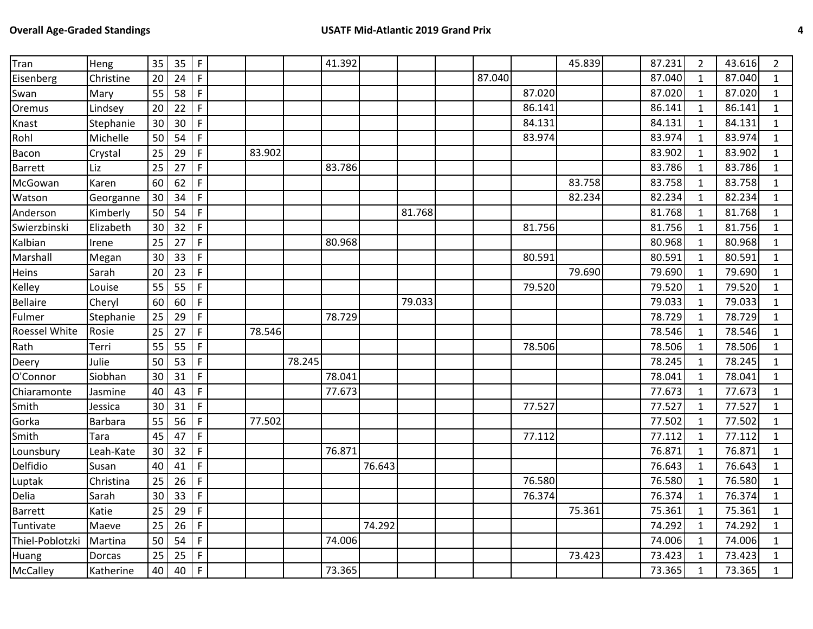| Tran                 | Heng           | 35 | 35 | $\mathsf F$ |        |        | 41.392 |        |        |        |        | 45.839 | 87.231 | $\overline{2}$ | 43.616 | 2            |
|----------------------|----------------|----|----|-------------|--------|--------|--------|--------|--------|--------|--------|--------|--------|----------------|--------|--------------|
| Eisenberg            | Christine      | 20 | 24 | F           |        |        |        |        |        | 87.040 |        |        | 87.040 | $\mathbf{1}$   | 87.040 | $\mathbf{1}$ |
| Swan                 | Mary           | 55 | 58 | F           |        |        |        |        |        |        | 87.020 |        | 87.020 | $\mathbf{1}$   | 87.020 | $\mathbf{1}$ |
| Oremus               | Lindsey        | 20 | 22 | F           |        |        |        |        |        |        | 86.141 |        | 86.141 | $\mathbf{1}$   | 86.141 | $\mathbf{1}$ |
| Knast                | Stephanie      | 30 | 30 | F           |        |        |        |        |        |        | 84.131 |        | 84.131 | $\mathbf{1}$   | 84.131 | $\mathbf{1}$ |
| Rohl                 | Michelle       | 50 | 54 | F           |        |        |        |        |        |        | 83.974 |        | 83.974 | $\mathbf{1}$   | 83.974 | $\mathbf{1}$ |
| Bacon                | Crystal        | 25 | 29 | $\mathsf F$ | 83.902 |        |        |        |        |        |        |        | 83.902 | $\mathbf{1}$   | 83.902 | $\mathbf{1}$ |
| Barrett              | Liz            | 25 | 27 | $\mathsf F$ |        |        | 83.786 |        |        |        |        |        | 83.786 | $\mathbf{1}$   | 83.786 | $\mathbf{1}$ |
| McGowan              | Karen          | 60 | 62 | F.          |        |        |        |        |        |        |        | 83.758 | 83.758 | $\mathbf{1}$   | 83.758 | $\mathbf{1}$ |
| Watson               | Georganne      | 30 | 34 | F           |        |        |        |        |        |        |        | 82.234 | 82.234 | $\mathbf{1}$   | 82.234 | $\mathbf{1}$ |
| Anderson             | Kimberly       | 50 | 54 | F           |        |        |        |        | 81.768 |        |        |        | 81.768 | $\mathbf{1}$   | 81.768 | $\mathbf{1}$ |
| Swierzbinski         | Elizabeth      | 30 | 32 | $\mathsf F$ |        |        |        |        |        |        | 81.756 |        | 81.756 | $\mathbf{1}$   | 81.756 | $\mathbf{1}$ |
| Kalbian              | Irene          | 25 | 27 | F           |        |        | 80.968 |        |        |        |        |        | 80.968 | $\mathbf{1}$   | 80.968 | $\mathbf{1}$ |
| Marshall             | Megan          | 30 | 33 | F           |        |        |        |        |        |        | 80.591 |        | 80.591 | $\mathbf{1}$   | 80.591 | $\mathbf{1}$ |
| Heins                | Sarah          | 20 | 23 | F           |        |        |        |        |        |        |        | 79.690 | 79.690 | $\mathbf{1}$   | 79.690 | $\mathbf{1}$ |
| Kelley               | Louise         | 55 | 55 | F           |        |        |        |        |        |        | 79.520 |        | 79.520 | $\mathbf{1}$   | 79.520 | $\mathbf{1}$ |
| <b>Bellaire</b>      | Cheryl         | 60 | 60 | F           |        |        |        |        | 79.033 |        |        |        | 79.033 | $\mathbf{1}$   | 79.033 | $\mathbf{1}$ |
| Fulmer               | Stephanie      | 25 | 29 | F           |        |        | 78.729 |        |        |        |        |        | 78.729 | $\mathbf{1}$   | 78.729 | $\mathbf{1}$ |
| <b>Roessel White</b> | Rosie          | 25 | 27 | F           | 78.546 |        |        |        |        |        |        |        | 78.546 | $\mathbf{1}$   | 78.546 | $\mathbf{1}$ |
| Rath                 | Terri          | 55 | 55 | F           |        |        |        |        |        |        | 78.506 |        | 78.506 | $\mathbf{1}$   | 78.506 | $\mathbf{1}$ |
| Deery                | Julie          | 50 | 53 | F           |        | 78.245 |        |        |        |        |        |        | 78.245 | $\mathbf{1}$   | 78.245 | $\mathbf{1}$ |
| O'Connor             | Siobhan        | 30 | 31 | $\mathsf F$ |        |        | 78.041 |        |        |        |        |        | 78.041 | $\mathbf{1}$   | 78.041 | $\mathbf{1}$ |
| Chiaramonte          | Jasmine        | 40 | 43 | F           |        |        | 77.673 |        |        |        |        |        | 77.673 | $\mathbf{1}$   | 77.673 | $\mathbf{1}$ |
| Smith                | Jessica        | 30 | 31 | F           |        |        |        |        |        |        | 77.527 |        | 77.527 | $\mathbf{1}$   | 77.527 | $\mathbf{1}$ |
| Gorka                | <b>Barbara</b> | 55 | 56 | F           | 77.502 |        |        |        |        |        |        |        | 77.502 | $\mathbf{1}$   | 77.502 | $\mathbf{1}$ |
| Smith                | Tara           | 45 | 47 | F           |        |        |        |        |        |        | 77.112 |        | 77.112 | $\mathbf{1}$   | 77.112 | $\mathbf{1}$ |
| Lounsbury            | Leah-Kate      | 30 | 32 | $\mathsf F$ |        |        | 76.871 |        |        |        |        |        | 76.871 | $\mathbf{1}$   | 76.871 | $\mathbf{1}$ |
| Delfidio             | Susan          | 40 | 41 | $\mathsf F$ |        |        |        | 76.643 |        |        |        |        | 76.643 | $\mathbf{1}$   | 76.643 | $\mathbf{1}$ |
| Luptak               | Christina      | 25 | 26 | F           |        |        |        |        |        |        | 76.580 |        | 76.580 | $\mathbf{1}$   | 76.580 | $\mathbf{1}$ |
| Delia                | Sarah          | 30 | 33 | F           |        |        |        |        |        |        | 76.374 |        | 76.374 | $\mathbf{1}$   | 76.374 | $\mathbf{1}$ |
| Barrett              | Katie          | 25 | 29 | F           |        |        |        |        |        |        |        | 75.361 | 75.361 | $\mathbf{1}$   | 75.361 | $\mathbf{1}$ |
| Tuntivate            | Maeve          | 25 | 26 | F.          |        |        |        | 74.292 |        |        |        |        | 74.292 | $\mathbf{1}$   | 74.292 | $\mathbf{1}$ |
| Thiel-Poblotzki      | Martina        | 50 | 54 | F           |        |        | 74.006 |        |        |        |        |        | 74.006 | $\mathbf{1}$   | 74.006 | $\mathbf{1}$ |
| Huang                | Dorcas         | 25 | 25 | F           |        |        |        |        |        |        |        | 73.423 | 73.423 | $\mathbf{1}$   | 73.423 | $\mathbf{1}$ |
| McCalley             | Katherine      | 40 | 40 | F           |        |        | 73.365 |        |        |        |        |        | 73.365 | $\mathbf{1}$   | 73.365 | $\mathbf{1}$ |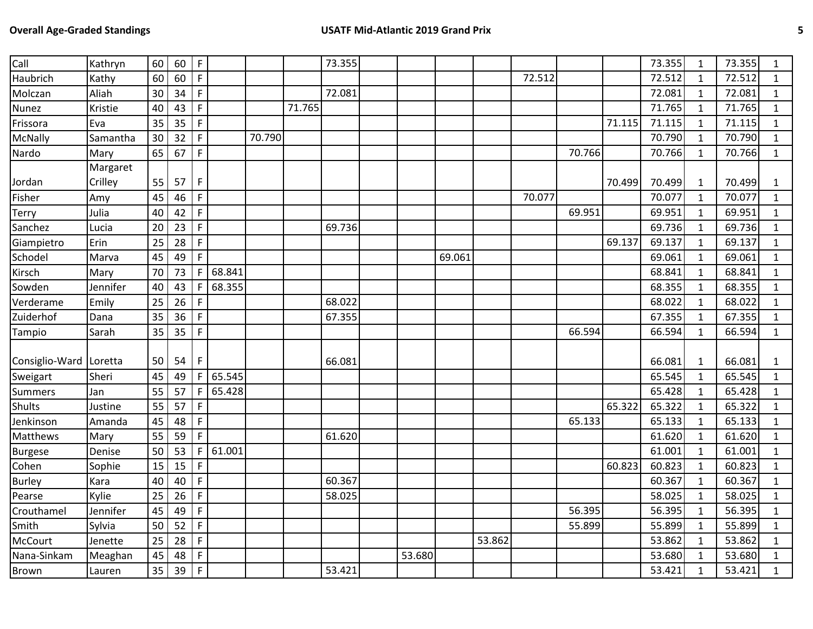| Call           | Kathryn  | 60 | 60 | $\mathsf{F}$ |        |        |        | 73.355 |        |        |        |        |        |        | 73.355 | $\mathbf{1}$ | 73.355 | $\mathbf{1}$ |
|----------------|----------|----|----|--------------|--------|--------|--------|--------|--------|--------|--------|--------|--------|--------|--------|--------------|--------|--------------|
| Haubrich       | Kathy    | 60 | 60 | F            |        |        |        |        |        |        |        | 72.512 |        |        | 72.512 | $\mathbf{1}$ | 72.512 | $\mathbf{1}$ |
| Molczan        | Aliah    | 30 | 34 | F            |        |        |        | 72.081 |        |        |        |        |        |        | 72.081 | $\mathbf{1}$ | 72.081 | $\mathbf{1}$ |
| Nunez          | Kristie  | 40 | 43 | $\mathsf F$  |        |        | 71.765 |        |        |        |        |        |        |        | 71.765 | $\mathbf{1}$ | 71.765 | $\mathbf{1}$ |
| Frissora       | Eva      | 35 | 35 | F.           |        |        |        |        |        |        |        |        |        | 71.115 | 71.115 | $\mathbf{1}$ | 71.115 | $\mathbf{1}$ |
| McNally        | Samantha | 30 | 32 | F            |        | 70.790 |        |        |        |        |        |        |        |        | 70.790 | $\mathbf{1}$ | 70.790 | $\mathbf{1}$ |
| Nardo          | Mary     | 65 | 67 | F            |        |        |        |        |        |        |        |        | 70.766 |        | 70.766 | $\mathbf{1}$ | 70.766 | $\mathbf{1}$ |
|                | Margaret |    |    |              |        |        |        |        |        |        |        |        |        |        |        |              |        |              |
| Jordan         | Crilley  | 55 | 57 | F            |        |        |        |        |        |        |        |        |        | 70.499 | 70.499 | $\mathbf{1}$ | 70.499 | 1            |
| Fisher         | Amy      | 45 | 46 | F            |        |        |        |        |        |        |        | 70.077 |        |        | 70.077 | $\mathbf{1}$ | 70.077 | $\mathbf{1}$ |
| Terry          | Julia    | 40 | 42 | F            |        |        |        |        |        |        |        |        | 69.951 |        | 69.951 | $\mathbf{1}$ | 69.951 | $\mathbf{1}$ |
| Sanchez        | Lucia    | 20 | 23 | $\mathsf F$  |        |        |        | 69.736 |        |        |        |        |        |        | 69.736 | $\mathbf{1}$ | 69.736 | $\mathbf{1}$ |
| Giampietro     | Erin     | 25 | 28 | F            |        |        |        |        |        |        |        |        |        | 69.137 | 69.137 | $\mathbf{1}$ | 69.137 | $\mathbf{1}$ |
| Schodel        | Marva    | 45 | 49 | F            |        |        |        |        |        | 69.061 |        |        |        |        | 69.061 | $\mathbf{1}$ | 69.061 | $\mathbf{1}$ |
| Kirsch         | Mary     | 70 | 73 | F.           | 68.841 |        |        |        |        |        |        |        |        |        | 68.841 | $\mathbf{1}$ | 68.841 | $\mathbf{1}$ |
| Sowden         | Jennifer | 40 | 43 | F            | 68.355 |        |        |        |        |        |        |        |        |        | 68.355 | $\mathbf{1}$ | 68.355 | $\mathbf{1}$ |
| Verderame      | Emily    | 25 | 26 | F.           |        |        |        | 68.022 |        |        |        |        |        |        | 68.022 | $\mathbf{1}$ | 68.022 | $\mathbf{1}$ |
| Zuiderhof      | Dana     | 35 | 36 | F.           |        |        |        | 67.355 |        |        |        |        |        |        | 67.355 | $\mathbf{1}$ | 67.355 | $\mathbf{1}$ |
| Tampio         | Sarah    | 35 | 35 | $\mathsf{F}$ |        |        |        |        |        |        |        |        | 66.594 |        | 66.594 | $\mathbf{1}$ | 66.594 | $\mathbf{1}$ |
| Consiglio-Ward | Loretta  | 50 | 54 | F.           |        |        |        | 66.081 |        |        |        |        |        |        | 66.081 | 1            | 66.081 | $\mathbf{1}$ |
| Sweigart       | Sheri    | 45 | 49 | F.           | 65.545 |        |        |        |        |        |        |        |        |        | 65.545 | $\mathbf{1}$ | 65.545 | $\mathbf{1}$ |
| Summers        | Jan      | 55 | 57 | F.           | 65.428 |        |        |        |        |        |        |        |        |        | 65.428 | $\mathbf{1}$ | 65.428 | $\mathbf{1}$ |
| <b>Shults</b>  | Justine  | 55 | 57 | F            |        |        |        |        |        |        |        |        |        | 65.322 | 65.322 | $\mathbf{1}$ | 65.322 | $\mathbf{1}$ |
| Jenkinson      | Amanda   | 45 | 48 | F.           |        |        |        |        |        |        |        |        | 65.133 |        | 65.133 | $\mathbf{1}$ | 65.133 | $\mathbf{1}$ |
| Matthews       | Mary     | 55 | 59 | F            |        |        |        | 61.620 |        |        |        |        |        |        | 61.620 | $\mathbf{1}$ | 61.620 | $\mathbf{1}$ |
| <b>Burgese</b> | Denise   | 50 | 53 | F.           | 61.001 |        |        |        |        |        |        |        |        |        | 61.001 | $\mathbf{1}$ | 61.001 | $\mathbf{1}$ |
| Cohen          | Sophie   | 15 | 15 | F            |        |        |        |        |        |        |        |        |        | 60.823 | 60.823 | $\mathbf{1}$ | 60.823 | $\mathbf{1}$ |
| <b>Burley</b>  | Kara     | 40 | 40 | F            |        |        |        | 60.367 |        |        |        |        |        |        | 60.367 | $\mathbf{1}$ | 60.367 | $\mathbf{1}$ |
| Pearse         | Kylie    | 25 | 26 | F            |        |        |        | 58.025 |        |        |        |        |        |        | 58.025 | $\mathbf{1}$ | 58.025 | $\mathbf{1}$ |
| Crouthamel     | Jennifer | 45 | 49 | F            |        |        |        |        |        |        |        |        | 56.395 |        | 56.395 | $\mathbf{1}$ | 56.395 | $\mathbf{1}$ |
| Smith          | Sylvia   | 50 | 52 | F            |        |        |        |        |        |        |        |        | 55.899 |        | 55.899 | $\mathbf{1}$ | 55.899 | $\mathbf{1}$ |
| McCourt        | Jenette  | 25 | 28 | F            |        |        |        |        |        |        | 53.862 |        |        |        | 53.862 | $\mathbf{1}$ | 53.862 | $\mathbf{1}$ |
| Nana-Sinkam    |          | 45 | 48 | F            |        |        |        |        | 53.680 |        |        |        |        |        | 53.680 | $\mathbf{1}$ | 53.680 |              |
|                | Meaghan  |    |    |              |        |        |        | 53.421 |        |        |        |        |        |        |        |              |        | $\mathbf{1}$ |
| <b>Brown</b>   | Lauren   | 35 | 39 | $\mathsf F$  |        |        |        |        |        |        |        |        |        |        | 53.421 | $\mathbf{1}$ | 53.421 | $\mathbf{1}$ |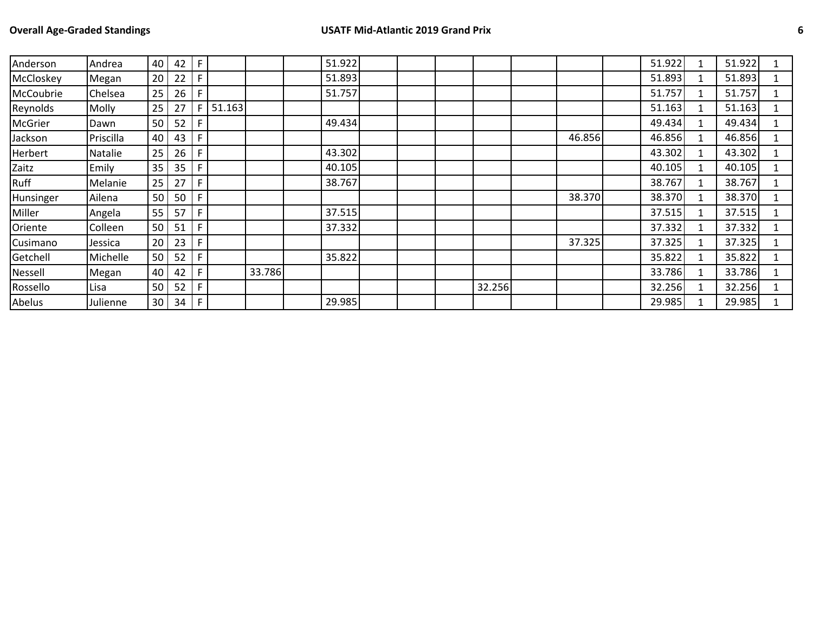| Anderson  | Andrea    | 40              | 42 | F            |        |        | 51.922 |  |        |        | 51.922 |              | 51.922 |  |
|-----------|-----------|-----------------|----|--------------|--------|--------|--------|--|--------|--------|--------|--------------|--------|--|
| McCloskey | Megan     | 20              | 22 | F.           |        |        | 51.893 |  |        |        | 51.893 |              | 51.893 |  |
| McCoubrie | Chelsea   | 25              | 26 | F.           |        |        | 51.757 |  |        |        | 51.757 |              | 51.757 |  |
| Reynolds  | Molly     | 25              | 27 | F            | 51.163 |        |        |  |        |        | 51.163 |              | 51.163 |  |
| McGrier   | Dawn      | 50 <sub>1</sub> | 52 | F            |        |        | 49.434 |  |        |        | 49.434 |              | 49.434 |  |
| Jackson   | Priscilla | 40 l            | 43 | F            |        |        |        |  |        | 46.856 | 46.856 |              | 46.856 |  |
| Herbert   | Natalie   | 25              | 26 | F.           |        |        | 43.302 |  |        |        | 43.302 |              | 43.302 |  |
| Zaitz     | Emily     | 35              | 35 | F.           |        |        | 40.105 |  |        |        | 40.105 |              | 40.105 |  |
| Ruff      | Melanie   | 25              | 27 | F.           |        |        | 38.767 |  |        |        | 38.767 |              | 38.767 |  |
| Hunsinger | Ailena    | 50              | 50 | F            |        |        |        |  |        | 38.370 | 38.370 |              | 38.370 |  |
| Miller    | Angela    | 55              | 57 | F            |        |        | 37.515 |  |        |        | 37.515 | $\mathbf{1}$ | 37.515 |  |
| Oriente   | Colleen   | 50 <sub>1</sub> | 51 | F.           |        |        | 37.332 |  |        |        | 37.332 |              | 37.332 |  |
| Cusimano  | Jessica   | 20              | 23 | F.           |        |        |        |  |        | 37.325 | 37.325 |              | 37.325 |  |
| Getchell  | Michelle  | 50              | 52 | F.           |        |        | 35.822 |  |        |        | 35.822 |              | 35.822 |  |
| Nessell   | Megan     | 40              | 42 | F            |        | 33.786 |        |  |        |        | 33.786 |              | 33.786 |  |
| Rossello  | Lisa      | 50              | 52 | F            |        |        |        |  | 32.256 |        | 32.256 |              | 32.256 |  |
| Abelus    | Julienne  | 30 <sup>1</sup> | 34 | $-1$ F $1$ . |        |        | 29.985 |  |        |        | 29.985 |              | 29.985 |  |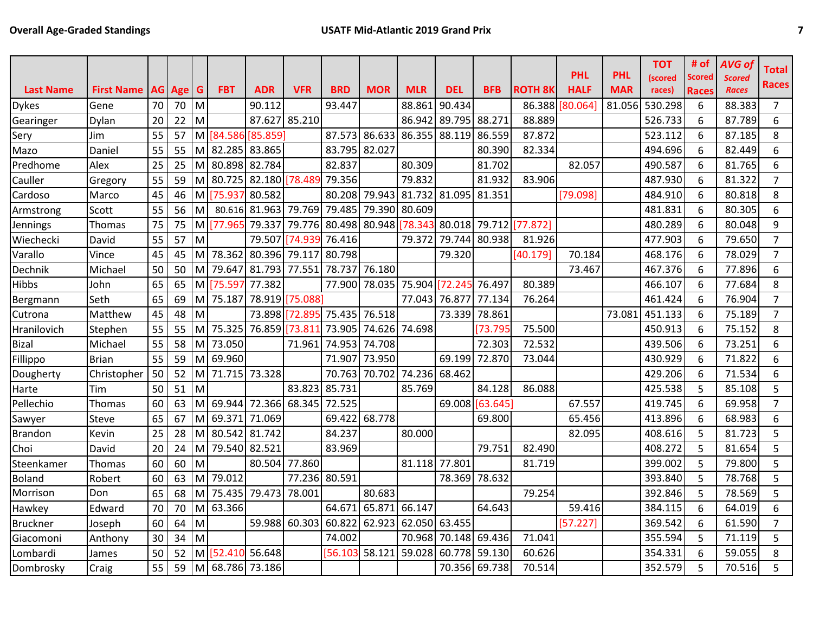|                  |                   |    |        |          |                 |                 |               |            |               |                      |               |            |                |             |            | <b>TOT</b> | # of         | <b>AVG of</b> | <b>Total</b>   |
|------------------|-------------------|----|--------|----------|-----------------|-----------------|---------------|------------|---------------|----------------------|---------------|------------|----------------|-------------|------------|------------|--------------|---------------|----------------|
|                  |                   |    |        |          |                 |                 |               |            |               |                      |               |            |                | <b>PHL</b>  | <b>PHL</b> | (scored    | Scored       | <b>Scored</b> | Races          |
| <b>Last Name</b> | <b>First Name</b> |    | AG Age | G        | <b>FBT</b>      | <b>ADR</b>      | <b>VFR</b>    | <b>BRD</b> | <b>MOR</b>    | <b>MLR</b>           | <b>DEL</b>    | <b>BFB</b> | <b>ROTH 8K</b> | <b>HALF</b> | <b>MAR</b> | races)     | <b>Races</b> | <b>Races</b>  |                |
| <b>Dykes</b>     | Gene              | 70 | 70     | M        |                 | 90.112          |               | 93.447     |               | 88.861               | 90.434        |            | 86.388         | [80.064]    | 81.056     | 530.298    | 6            | 88.383        | $\overline{7}$ |
| Gearinger        | Dylan             | 20 | 22     | M        |                 |                 | 87.627 85.210 |            |               | 86.942               | 89.795        | 88.271     | 88.889         |             |            | 526.733    | 6            | 87.789        | 6              |
| Sery             | Jim               | 55 | 57     |          | M [84.586]      | [85.859]        |               | 87.573     | 86.633        | 86.355               | 88.119        | 86.559     | 87.872         |             |            | 523.112    | 6            | 87.185        | 8              |
| Mazo             | Daniel            | 55 | 55     |          | M 82.285 83.865 |                 |               | 83.795     | 82.027        |                      |               | 80.390     | 82.334         |             |            | 494.696    | 6            | 82.449        | 6              |
| Predhome         | Alex              | 25 | 25     |          | M 80.898 82.784 |                 |               | 82.837     |               | 80.309               |               | 81.702     |                | 82.057      |            | 490.587    | 6            | 81.765        | 6              |
| Cauller          | Gregory           | 55 | 59     |          |                 | M 80.725 82.180 | [78.489]      | 79.356     |               | 79.832               |               | 81.932     | 83.906         |             |            | 487.930    | 6            | 81.322        | $\overline{7}$ |
| Cardoso          | Marco             | 45 | 46     |          | M [75.937       | 80.582          |               | 80.208     | 79.943 81.732 |                      | 81.095        | 81.351     |                | [79.098]    |            | 484.910    | 6            | 80.818        | 8              |
| Armstrong        | Scott             | 55 | 56     | M        |                 | 80.616 81.963   | 79.769        | 79.485     | 79.390 80.609 |                      |               |            |                |             |            | 481.831    | 6            | 80.305        | 6              |
| Jennings         | Thomas            | 75 | 75     | M        | [77.965         | 79.337          | 79.776        | 80.498     | 80.948 78.343 |                      | 80.018 79.712 |            | [77.872]       |             |            | 480.289    | 6            | 80.048        | 9              |
| Wiechecki        | David             | 55 | 57     | M        |                 | 79.507          | 74.939        | 76.416     |               | 79.372               | 79.744        | 80.938     | 81.926         |             |            | 477.903    | 6            | 79.650        | $\overline{7}$ |
| Varallo          | Vince             | 45 | 45     | M        | 78.362          | 80.396          | 79.117        | 80.798     |               |                      | 79.320        |            | [40.179]       | 70.184      |            | 468.176    | 6            | 78.029        | $\overline{7}$ |
| Dechnik          | Michael           | 50 | 50     |          | M 79.647        | 81.793          | 77.551        | 78.737     | 76.180        |                      |               |            |                | 73.467      |            | 467.376    | 6            | 77.896        | 6              |
| Hibbs            | John              | 65 | 65     |          | M [75.597       | 77.382          |               | 77.900     |               | 78.035 75.904        | [72.245       | 76.497     | 80.389         |             |            | 466.107    | 6            | 77.684        | 8              |
| Bergmann         | Seth              | 65 | 69     |          | M 75.187        | 78.919          | [75.088]      |            |               | 77.043               | 76.877        | 77.134     | 76.264         |             |            | 461.424    | 6            | 76.904        | $\overline{7}$ |
| Cutrona          | Matthew           | 45 | 48     | M        |                 | 73.898          | [72.895       | 75.435     | 76.518        |                      | 73.339        | 78.861     |                |             | 73.081     | 451.133    | 6            | 75.189        | $\overline{7}$ |
| Hranilovich      | Stephen           | 55 | 55     | M        | 75.325          | 76.859          | [73.81]       | 73.905     | 74.626 74.698 |                      |               | [73.795    | 75.500         |             |            | 450.913    | 6            | 75.152        | 8              |
| <b>Bizal</b>     | Michael           | 55 | 58     |          | M 73.050        |                 | 71.961        | 74.953     | 74.708        |                      |               | 72.303     | 72.532         |             |            | 439.506    | 6            | 73.251        | 6              |
| Fillippo         | <b>Brian</b>      | 55 | 59     | M        | 69.960          |                 |               | 71.907     | 73.950        |                      | 69.199        | 72.870     | 73.044         |             |            | 430.929    | 6            | 71.822        | 6              |
| Dougherty        | Christopher       | 50 | 52     |          | M 71.715 73.328 |                 |               | 70.763     | 70.702 74.236 |                      | 68.462        |            |                |             |            | 429.206    | 6            | 71.534        | 6              |
| Harte            | Tim               | 50 | 51     | <b>M</b> |                 |                 | 83.823        | 85.731     |               | 85.769               |               | 84.128     | 86.088         |             |            | 425.538    | 5            | 85.108        | 5              |
| Pellechio        | Thomas            | 60 | 63     |          | M 69.944        | 72.366          | 68.345        | 72.525     |               |                      | 69.008        | [63.645]   |                | 67.557      |            | 419.745    | 6            | 69.958        | $\overline{7}$ |
| Sawyer           | Steve             | 65 | 67     | M        | 69.371          | 71.069          |               | 69.422     | 68.778        |                      |               | 69.800     |                | 65.456      |            | 413.896    | 6            | 68.983        | 6              |
| <b>Brandon</b>   | Kevin             | 25 | 28     | M        | 80.542 81.742   |                 |               | 84.237     |               | 80.000               |               |            |                | 82.095      |            | 408.616    | 5            | 81.723        | 5              |
| Choi             | David             | 20 | 24     | M        | 79.540 82.521   |                 |               | 83.969     |               |                      |               | 79.751     | 82.490         |             |            | 408.272    | 5            | 81.654        | 5              |
| Steenkamer       | Thomas            | 60 | 60     | M        |                 | 80.504          | 77.860        |            |               | 81.118               | 77.801        |            | 81.719         |             |            | 399.002    | 5            | 79.800        | 5              |
| <b>Boland</b>    | Robert            | 60 | 63     |          | M 79.012        |                 | 77.236        | 80.591     |               |                      | 78.369 78.632 |            |                |             |            | 393.840    | 5            | 78.768        | 5              |
| Morrison         | Don               | 65 | 68     |          | M 75.435        | 79.473          | 78.001        |            | 80.683        |                      |               |            | 79.254         |             |            | 392.846    | 5            | 78.569        | 5              |
| Hawkey           | Edward            | 70 | 70     |          | M 63.366        |                 |               | 64.671     | 65.871 66.147 |                      |               | 64.643     |                | 59.416      |            | 384.115    | 6            | 64.019        | 6              |
| <b>Bruckner</b>  | Joseph            | 60 | 64     | M        |                 | 59.988          | 60.303        | 60.822     |               | 62.923 62.050 63.455 |               |            |                | [57.227]    |            | 369.542    | 6            | 61.590        | $\overline{7}$ |
| Giacomoni        | Anthony           | 30 | 34     | M        |                 |                 |               | 74.002     |               | 70.968               | 70.148        | 69.436     | 71.041         |             |            | 355.594    | 5            | 71.119        | 5              |
| Lombardi         | James             | 50 | 52     | мI       | [52.410         | 56.648          |               | 56.103     | 58.121        | 59.028               | 60.778        | 59.130     | 60.626         |             |            | 354.331    | 6            | 59.055        | 8              |
| Dombrosky        | Craig             | 55 | 59     |          | M 68.786 73.186 |                 |               |            |               |                      | 70.356 69.738 |            | 70.514         |             |            | 352.579    | 5            | 70.516        | 5              |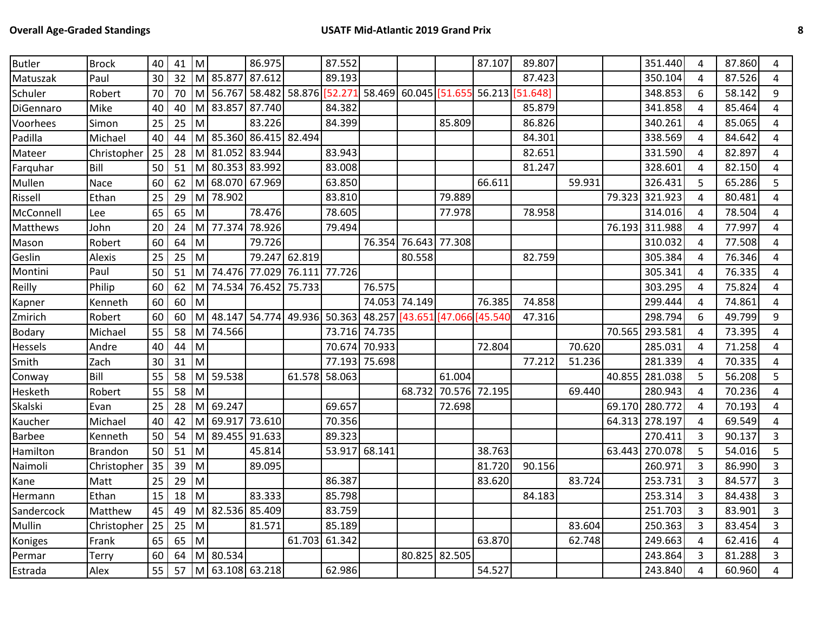| <b>Butler</b> | <b>Brock</b>   | 40 | 41 | M  |               | 86.975        |                                           | 87.552        |        |                        |               | 87.107   | 89.807          |        |        | 351.440 | 4              | 87.860 | 4              |
|---------------|----------------|----|----|----|---------------|---------------|-------------------------------------------|---------------|--------|------------------------|---------------|----------|-----------------|--------|--------|---------|----------------|--------|----------------|
| Matuszak      | Paul           | 30 | 32 | M  | 85.877        | 87.612        |                                           | 89.193        |        |                        |               |          | 87.423          |        |        | 350.104 | 4              | 87.526 | 4              |
| Schuler       | Robert         | 70 | 70 | M  | 56.767        |               | 58.482 58.876 52.271 58.469 60.045 51.655 |               |        |                        |               |          | 56.213 [51.648] |        |        | 348.853 | 6              | 58.142 | 9              |
| DiGennaro     | Mike           | 40 | 40 | M  | 83.857        | 87.740        |                                           | 84.382        |        |                        |               |          | 85.879          |        |        | 341.858 | 4              | 85.464 | 4              |
| Voorhees      | Simon          | 25 | 25 | M  |               | 83.226        |                                           | 84.399        |        |                        | 85.809        |          | 86.826          |        |        | 340.261 | 4              | 85.065 | 4              |
| Padilla       | Michael        | 40 | 44 |    | M 85.360      | 86.415 82.494 |                                           |               |        |                        |               |          | 84.301          |        |        | 338.569 | 4              | 84.642 | 4              |
| Mateer        | Christopher    | 25 | 28 | M  | 81.052        | 83.944        |                                           | 83.943        |        |                        |               |          | 82.651          |        |        | 331.590 | 4              | 82.897 | 4              |
| Farquhar      | Bill           | 50 | 51 | M  | 80.353        | 83.992        |                                           | 83.008        |        |                        |               |          | 81.247          |        |        | 328.601 | 4              | 82.150 | 4              |
| Mullen        | Nace           | 60 | 62 | M  | 68.070        | 67.969        |                                           | 63.850        |        |                        |               | 66.611   |                 | 59.931 |        | 326.431 | 5              | 65.286 | 5              |
| Rissell       | Ethan          | 25 | 29 | M  | 78.902        |               |                                           | 83.810        |        |                        | 79.889        |          |                 |        | 79.323 | 321.923 | 4              | 80.481 | 4              |
| McConnell     | Lee            | 65 | 65 | M  |               | 78.476        |                                           | 78.605        |        |                        | 77.978        |          | 78.958          |        |        | 314.016 | 4              | 78.504 | 4              |
| Matthews      | John           | 20 | 24 | M  | 77.374        | 78.926        |                                           | 79.494        |        |                        |               |          |                 |        | 76.193 | 311.988 | 4              | 77.997 | 4              |
| Mason         | Robert         | 60 | 64 | M  |               | 79.726        |                                           |               | 76.354 |                        | 76.643 77.308 |          |                 |        |        | 310.032 | 4              | 77.508 | 4              |
| Geslin        | Alexis         | 25 | 25 | lм |               |               | 79.247 62.819                             |               |        | 80.558                 |               |          | 82.759          |        |        | 305.384 | 4              | 76.346 | 4              |
| Montini       | Paul           | 50 | 51 |    | M 74.476      | 77.029        | 76.111                                    | 77.726        |        |                        |               |          |                 |        |        | 305.341 | $\overline{4}$ | 76.335 | 4              |
| Reilly        | Philip         | 60 | 62 | M  | 74.534        | 76.452        | 75.733                                    |               | 76.575 |                        |               |          |                 |        |        | 303.295 | $\overline{4}$ | 75.824 | 4              |
| Kapner        | Kenneth        | 60 | 60 | M  |               |               |                                           |               |        | 74.053 74.149          |               | 76.385   | 74.858          |        |        | 299.444 | 4              | 74.861 | 4              |
| Zmirich       | Robert         | 60 | 60 | M  | 48.147        |               | 54.774 49.936                             | 50.363        |        | 48.257 [43.651 [47.066 |               | [45.540] | 47.316          |        |        | 298.794 | 6              | 49.799 | 9              |
| Bodary        | Michael        | 55 | 58 | M  | 74.566        |               |                                           | 73.716        | 74.735 |                        |               |          |                 |        | 70.565 | 293.581 | 4              | 73.395 | 4              |
| Hessels       | Andre          | 40 | 44 | M  |               |               |                                           | 70.674        | 70.933 |                        |               | 72.804   |                 | 70.620 |        | 285.031 | 4              | 71.258 | 4              |
| Smith         | Zach           | 30 | 31 | M  |               |               |                                           | 77.193        | 75.698 |                        |               |          | 77.212          | 51.236 |        | 281.339 | 4              | 70.335 | 4              |
| Conway        | Bill           | 55 | 58 |    | M 59.538      |               | 61.578                                    | 58.063        |        |                        | 61.004        |          |                 |        | 40.855 | 281.038 | 5              | 56.208 | 5              |
| Hesketh       | Robert         | 55 | 58 | M  |               |               |                                           |               |        | 68.732                 | 70.576        | 72.195   |                 | 69.440 |        | 280.943 | 4              | 70.236 | 4              |
| Skalski       | Evan           | 25 | 28 | M  | 69.247        |               |                                           | 69.657        |        |                        | 72.698        |          |                 |        | 69.170 | 280.772 | 4              | 70.193 | $\overline{4}$ |
| Kaucher       | Michael        | 40 | 42 | M  | 69.917        | 73.610        |                                           | 70.356        |        |                        |               |          |                 |        | 64.313 | 278.197 | 4              | 69.549 | 4              |
| <b>Barbee</b> | Kenneth        | 50 | 54 | M  | 89.455        | 91.633        |                                           | 89.323        |        |                        |               |          |                 |        |        | 270.411 | 3              | 90.137 | $\mathbf{3}$   |
| Hamilton      | <b>Brandon</b> | 50 | 51 | M  |               | 45.814        |                                           | 53.917 68.141 |        |                        |               | 38.763   |                 |        | 63.443 | 270.078 | 5              | 54.016 | 5              |
| Naimoli       | Christopher    | 35 | 39 | M  |               | 89.095        |                                           |               |        |                        |               | 81.720   | 90.156          |        |        | 260.971 | 3              | 86.990 | 3              |
| Kane          | Matt           | 25 | 29 | M  |               |               |                                           | 86.387        |        |                        |               | 83.620   |                 | 83.724 |        | 253.731 | 3              | 84.577 | 3              |
| Hermann       | Ethan          | 15 | 18 | M  |               | 83.333        |                                           | 85.798        |        |                        |               |          | 84.183          |        |        | 253.314 | $\overline{3}$ | 84.438 | 3              |
| Sandercock    | Matthew        | 45 | 49 | м  | 82.536        | 85.409        |                                           | 83.759        |        |                        |               |          |                 |        |        | 251.703 | 3              | 83.901 | 3              |
| Mullin        | Christopher    | 25 | 25 | M  |               | 81.571        |                                           | 85.189        |        |                        |               |          |                 | 83.604 |        | 250.363 | $\overline{3}$ | 83.454 | $\overline{3}$ |
| Koniges       | Frank          | 65 | 65 | M  |               |               | 61.703                                    | 61.342        |        |                        |               | 63.870   |                 | 62.748 |        | 249.663 | 4              | 62.416 | 4              |
| Permar        | Terry          | 60 | 64 |    | M 80.534      |               |                                           |               |        | 80.825 82.505          |               |          |                 |        |        | 243.864 | 3              | 81.288 | $\overline{3}$ |
| Estrada       | Alex           | 55 | 57 | M  | 63.108 63.218 |               |                                           | 62.986        |        |                        |               | 54.527   |                 |        |        | 243.840 | 4              | 60.960 | 4              |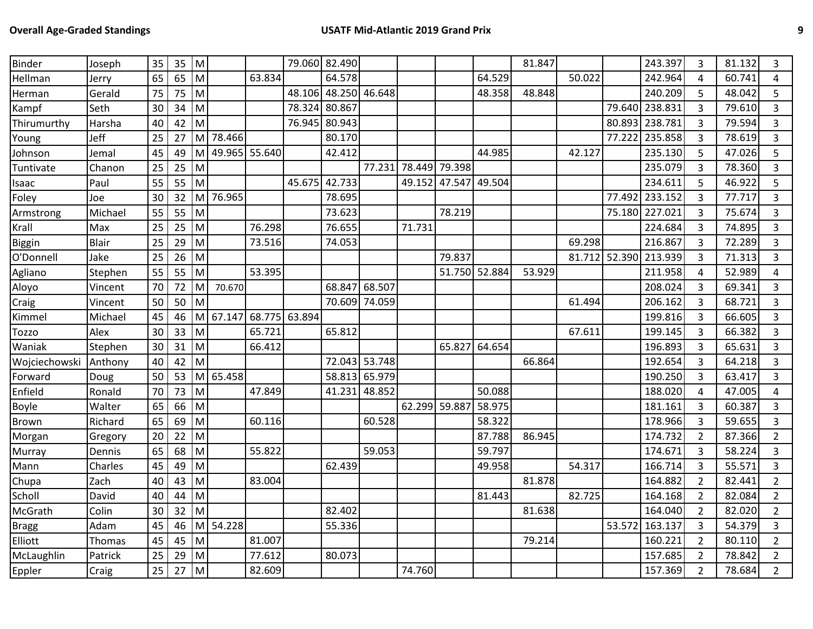| <b>Binder</b> | Joseph       | 35 | 35 | M                                                                                                          |               |               | 79.060 82.490 |               |               |               |               |        | 81.847 |               |        | 243.397 | 3              | 81.132 | 3              |
|---------------|--------------|----|----|------------------------------------------------------------------------------------------------------------|---------------|---------------|---------------|---------------|---------------|---------------|---------------|--------|--------|---------------|--------|---------|----------------|--------|----------------|
| Hellman       | Jerry        | 65 | 65 | M                                                                                                          |               | 63.834        |               | 64.578        |               |               |               | 64.529 |        | 50.022        |        | 242.964 | 4              | 60.741 | 4              |
| Herman        | Gerald       | 75 | 75 | M                                                                                                          |               |               | 48.106        | 48.250 46.648 |               |               |               | 48.358 | 48.848 |               |        | 240.209 | 5              | 48.042 | 5              |
| Kampf         | Seth         | 30 | 34 | M                                                                                                          |               |               | 78.324        | 80.867        |               |               |               |        |        |               | 79.640 | 238.831 | 3              | 79.610 | 3              |
| Thirumurthy   | Harsha       | 40 | 42 | M                                                                                                          |               |               | 76.945        | 80.943        |               |               |               |        |        |               | 80.893 | 238.781 | 3              | 79.594 | 3              |
| Young         | Jeff         | 25 | 27 | M                                                                                                          | 78.466        |               |               | 80.170        |               |               |               |        |        |               | 77.222 | 235.858 | 3              | 78.619 | 3              |
| Johnson       | Jemal        | 45 | 49 | м                                                                                                          | 49.965 55.640 |               |               | 42.412        |               |               |               | 44.985 |        | 42.127        |        | 235.130 | 5              | 47.026 | 5              |
| Tuntivate     | Chanon       | 25 | 25 | M                                                                                                          |               |               |               |               | 77.231        | 78.449 79.398 |               |        |        |               |        | 235.079 | 3              | 78.360 | 3              |
| Isaac         | Paul         | 55 | 55 | M                                                                                                          |               |               | 45.675        | 42.733        |               | 49.152        | 47.547        | 49.504 |        |               |        | 234.611 | 5              | 46.922 | 5              |
| Foley         | Joe          | 30 | 32 | M                                                                                                          | 76.965        |               |               | 78.695        |               |               |               |        |        |               | 77.492 | 233.152 | $\overline{3}$ | 77.717 | $\overline{3}$ |
| Armstrong     | Michael      | 55 | 55 | M                                                                                                          |               |               |               | 73.623        |               |               | 78.219        |        |        |               | 75.180 | 227.021 | 3              | 75.674 | $\overline{3}$ |
| Krall         | Max          | 25 | 25 | M                                                                                                          |               | 76.298        |               | 76.655        |               | 71.731        |               |        |        |               |        | 224.684 | $\overline{3}$ | 74.895 | 3              |
| Biggin        | <b>Blair</b> | 25 | 29 | $\mathsf{M}% _{T}=\mathsf{M}_{T}\!\left( a,b\right) ,\ \mathsf{M}_{T}=\mathsf{M}_{T}\!\left( a,b\right) ,$ |               | 73.516        |               | 74.053        |               |               |               |        |        | 69.298        |        | 216.867 | 3              | 72.289 | 3              |
| O'Donnell     | Jake         | 25 | 26 | M                                                                                                          |               |               |               |               |               |               | 79.837        |        |        | 81.712 52.390 |        | 213.939 | 3              | 71.313 | 3              |
| Agliano       | Stephen      | 55 | 55 | M                                                                                                          |               | 53.395        |               |               |               |               | 51.750 52.884 |        | 53.929 |               |        | 211.958 | 4              | 52.989 | 4              |
| Aloyo         | Vincent      | 70 | 72 | M                                                                                                          | 70.670        |               |               | 68.847        | 68.507        |               |               |        |        |               |        | 208.024 | $\mathbf{3}$   | 69.341 | 3              |
| Craig         | Vincent      | 50 | 50 | M                                                                                                          |               |               |               |               | 70.609 74.059 |               |               |        |        | 61.494        |        | 206.162 | 3              | 68.721 | $\overline{3}$ |
| Kimmel        | Michael      | 45 | 46 | M                                                                                                          | 67.147        | 68.775 63.894 |               |               |               |               |               |        |        |               |        | 199.816 | 3              | 66.605 | $\overline{3}$ |
| Tozzo         | Alex         | 30 | 33 | M                                                                                                          |               | 65.721        |               | 65.812        |               |               |               |        |        | 67.611        |        | 199.145 | 3              | 66.382 | 3              |
| Waniak        | Stephen      | 30 | 31 | M                                                                                                          |               | 66.412        |               |               |               |               | 65.827        | 64.654 |        |               |        | 196.893 | 3              | 65.631 | $\overline{3}$ |
| Wojciechowski | Anthony      | 40 | 42 | M                                                                                                          |               |               |               |               | 72.043 53.748 |               |               |        | 66.864 |               |        | 192.654 | 3              | 64.218 | 3              |
| Forward       | Doug         | 50 | 53 |                                                                                                            | M 65.458      |               |               |               | 58.813 65.979 |               |               |        |        |               |        | 190.250 | 3              | 63.417 | $\overline{3}$ |
| Enfield       | Ronald       | 70 | 73 | M                                                                                                          |               | 47.849        |               | 41.231        | 48.852        |               |               | 50.088 |        |               |        | 188.020 | 4              | 47.005 | 4              |
| Boyle         | Walter       | 65 | 66 | M                                                                                                          |               |               |               |               |               | 62.299 59.887 |               | 58.975 |        |               |        | 181.161 | 3              | 60.387 | 3              |
| <b>Brown</b>  | Richard      | 65 | 69 | M                                                                                                          |               | 60.116        |               |               | 60.528        |               |               | 58.322 |        |               |        | 178.966 | $\overline{3}$ | 59.655 | 3              |
| Morgan        | Gregory      | 20 | 22 | ${\sf M}$                                                                                                  |               |               |               |               |               |               |               | 87.788 | 86.945 |               |        | 174.732 | $\overline{2}$ | 87.366 | $\overline{2}$ |
| Murray        | Dennis       | 65 | 68 | M                                                                                                          |               | 55.822        |               |               | 59.053        |               |               | 59.797 |        |               |        | 174.671 | 3              | 58.224 | 3              |
| Mann          | Charles      | 45 | 49 | M                                                                                                          |               |               |               | 62.439        |               |               |               | 49.958 |        | 54.317        |        | 166.714 | 3              | 55.571 | 3              |
| Chupa         | Zach         | 40 | 43 | ${\sf M}$                                                                                                  |               | 83.004        |               |               |               |               |               |        | 81.878 |               |        | 164.882 | $\overline{2}$ | 82.441 | $\overline{2}$ |
| Scholl        | David        | 40 | 44 | M                                                                                                          |               |               |               |               |               |               |               | 81.443 |        | 82.725        |        | 164.168 | $\overline{2}$ | 82.084 | $\overline{2}$ |
| McGrath       | Colin        | 30 | 32 | M                                                                                                          |               |               |               | 82.402        |               |               |               |        | 81.638 |               |        | 164.040 | $\overline{2}$ | 82.020 | $\overline{2}$ |
| <b>Bragg</b>  | Adam         | 45 | 46 | M                                                                                                          | 54.228        |               |               | 55.336        |               |               |               |        |        |               | 53.572 | 163.137 | 3              | 54.379 | 3              |
| Elliott       | Thomas       | 45 | 45 | M                                                                                                          |               | 81.007        |               |               |               |               |               |        | 79.214 |               |        | 160.221 | $\overline{2}$ | 80.110 | $\overline{2}$ |
| McLaughlin    | Patrick      | 25 | 29 | ${\sf M}$                                                                                                  |               | 77.612        |               | 80.073        |               |               |               |        |        |               |        | 157.685 | $\overline{2}$ | 78.842 | $\overline{2}$ |
| Eppler        | Craig        | 25 | 27 | M                                                                                                          |               | 82.609        |               |               |               | 74.760        |               |        |        |               |        | 157.369 | $\overline{2}$ | 78.684 | $2^{\circ}$    |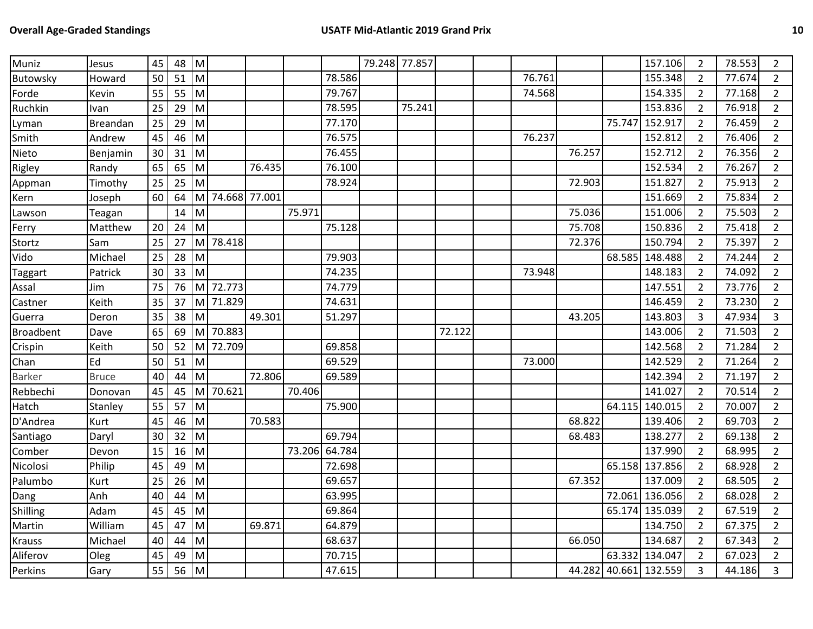| Muniz            | Jesus        | 45 | 48 | Iм           |               |        |        |        | 79.248 77.857 |        |        |        |        |        | 157.106               | $\overline{2}$ | 78.553 | $\overline{2}$ |
|------------------|--------------|----|----|--------------|---------------|--------|--------|--------|---------------|--------|--------|--------|--------|--------|-----------------------|----------------|--------|----------------|
| Butowsky         | Howard       | 50 | 51 | M            |               |        |        | 78.586 |               |        |        | 76.761 |        |        | 155.348               | $\overline{2}$ | 77.674 | $\overline{2}$ |
| Forde            | Kevin        | 55 | 55 | M            |               |        |        | 79.767 |               |        |        | 74.568 |        |        | 154.335               | $\overline{2}$ | 77.168 | $\overline{2}$ |
| Ruchkin          | Ivan         | 25 | 29 | $\mathsf{M}$ |               |        |        | 78.595 |               | 75.241 |        |        |        |        | 153.836               | $\overline{2}$ | 76.918 | $\overline{2}$ |
| Lyman            | Breandan     | 25 | 29 | M            |               |        |        | 77.170 |               |        |        |        |        | 75.747 | 152.917               | $\overline{2}$ | 76.459 | $\overline{2}$ |
| Smith            | Andrew       | 45 | 46 | M            |               |        |        | 76.575 |               |        |        | 76.237 |        |        | 152.812               | $\overline{2}$ | 76.406 | $\overline{2}$ |
| Nieto            | Benjamin     | 30 | 31 | Iм           |               |        |        | 76.455 |               |        |        |        | 76.257 |        | 152.712               | $\overline{2}$ | 76.356 | $\overline{2}$ |
| Rigley           | Randy        | 65 | 65 | M            |               | 76.435 |        | 76.100 |               |        |        |        |        |        | 152.534               | $\overline{2}$ | 76.267 | $\overline{2}$ |
| Appman           | Timothy      | 25 | 25 | M            |               |        |        | 78.924 |               |        |        |        | 72.903 |        | 151.827               | $\overline{2}$ | 75.913 | $\overline{2}$ |
| Kern             | Joseph       | 60 | 64 | M            | 74.668 77.001 |        |        |        |               |        |        |        |        |        | 151.669               | $\overline{2}$ | 75.834 | $\overline{2}$ |
| Lawson           | Teagan       |    | 14 | ${\sf M}$    |               |        | 75.971 |        |               |        |        |        | 75.036 |        | 151.006               | $\overline{2}$ | 75.503 | $\overline{2}$ |
| Ferry            | Matthew      | 20 | 24 | M            |               |        |        | 75.128 |               |        |        |        | 75.708 |        | 150.836               | $\overline{2}$ | 75.418 | $\overline{2}$ |
| Stortz           | Sam          | 25 | 27 |              | M 78.418      |        |        |        |               |        |        |        | 72.376 |        | 150.794               | $\overline{2}$ | 75.397 | $\overline{2}$ |
| Vido             | Michael      | 25 | 28 | Iм           |               |        |        | 79.903 |               |        |        |        |        | 68.585 | 148.488               | $\overline{2}$ | 74.244 | $\overline{2}$ |
| Taggart          | Patrick      | 30 | 33 | M            |               |        |        | 74.235 |               |        |        | 73.948 |        |        | 148.183               | $\overline{2}$ | 74.092 | $\overline{2}$ |
| Assal            | Jim          | 75 | 76 | M            | 72.773        |        |        | 74.779 |               |        |        |        |        |        | 147.551               | $\overline{2}$ | 73.776 | $\overline{2}$ |
| Castner          | Keith        | 35 | 37 | M            | 71.829        |        |        | 74.631 |               |        |        |        |        |        | 146.459               | $\overline{2}$ | 73.230 | $\overline{2}$ |
| Guerra           | Deron        | 35 | 38 | M            |               | 49.301 |        | 51.297 |               |        |        |        | 43.205 |        | 143.803               | 3              | 47.934 | $\overline{3}$ |
| <b>Broadbent</b> | Dave         | 65 | 69 | M            | 70.883        |        |        |        |               |        | 72.122 |        |        |        | 143.006               | $\overline{2}$ | 71.503 | $\overline{2}$ |
| Crispin          | Keith        | 50 | 52 | M            | 72.709        |        |        | 69.858 |               |        |        |        |        |        | 142.568               | $\overline{2}$ | 71.284 | $\overline{2}$ |
| Chan             | Ed           | 50 | 51 | M            |               |        |        | 69.529 |               |        |        | 73.000 |        |        | 142.529               | $\overline{2}$ | 71.264 | $\overline{2}$ |
| <b>Barker</b>    | <b>Bruce</b> | 40 | 44 | lм           |               | 72.806 |        | 69.589 |               |        |        |        |        |        | 142.394               | $\overline{2}$ | 71.197 | $\overline{2}$ |
| Rebbechi         | Donovan      | 45 | 45 | M            | 70.621        |        | 70.406 |        |               |        |        |        |        |        | 141.027               | $\overline{2}$ | 70.514 | $\overline{2}$ |
| Hatch            | Stanley      | 55 | 57 | lм           |               |        |        | 75.900 |               |        |        |        |        | 64.115 | 140.015               | $\overline{2}$ | 70.007 | $\overline{2}$ |
| D'Andrea         | Kurt         | 45 | 46 | M            |               | 70.583 |        |        |               |        |        |        | 68.822 |        | 139.406               | $\overline{2}$ | 69.703 | $\overline{2}$ |
| Santiago         | Daryl        | 30 | 32 | ${\sf M}$    |               |        |        | 69.794 |               |        |        |        | 68.483 |        | 138.277               | $\overline{2}$ | 69.138 | $\overline{2}$ |
| Comber           | Devon        | 15 | 16 | M            |               |        | 73.206 | 64.784 |               |        |        |        |        |        | 137.990               | $\overline{2}$ | 68.995 | $\overline{2}$ |
| Nicolosi         | Philip       | 45 | 49 | M            |               |        |        | 72.698 |               |        |        |        |        |        | 65.158 137.856        | $\overline{2}$ | 68.928 | $\overline{2}$ |
| Palumbo          | Kurt         | 25 | 26 | lм           |               |        |        | 69.657 |               |        |        |        | 67.352 |        | 137.009               | $\overline{2}$ | 68.505 | $\overline{2}$ |
| Dang             | Anh          | 40 | 44 | M            |               |        |        | 63.995 |               |        |        |        |        |        | 72.061 136.056        | $\overline{2}$ | 68.028 | $\overline{2}$ |
| Shilling         | Adam         | 45 | 45 | M            |               |        |        | 69.864 |               |        |        |        |        |        | 65.174 135.039        | $\overline{2}$ | 67.519 | $\overline{2}$ |
| Martin           | William      | 45 | 47 | M            |               | 69.871 |        | 64.879 |               |        |        |        |        |        | 134.750               | $\overline{2}$ | 67.375 | $\overline{2}$ |
| <b>Krauss</b>    | Michael      | 40 | 44 | ${\sf M}$    |               |        |        | 68.637 |               |        |        |        | 66.050 |        | 134.687               | $\overline{2}$ | 67.343 | $\overline{2}$ |
| Aliferov         | Oleg         | 45 | 49 | M            |               |        |        | 70.715 |               |        |        |        |        |        | 63.332 134.047        | $\overline{2}$ | 67.023 | $\overline{2}$ |
| Perkins          | Gary         | 55 | 56 | M            |               |        |        | 47.615 |               |        |        |        |        |        | 44.282 40.661 132.559 | 3              | 44.186 | $\overline{3}$ |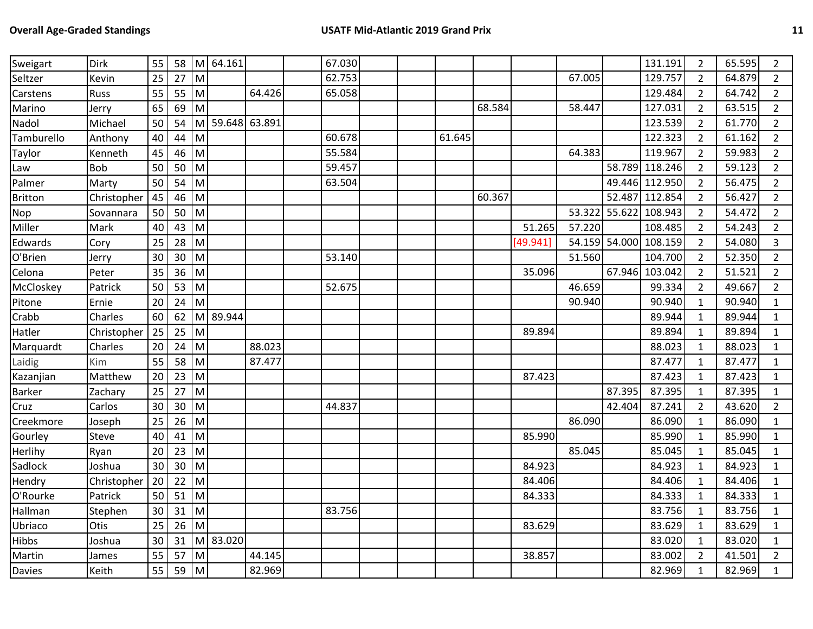| Sweigart       | <b>Dirk</b> | 55 | 58 |           | M 64.161        |        | 67.030 |  |        |        |          |               |               | 131.191        | 2              | 65.595 | $\overline{2}$ |
|----------------|-------------|----|----|-----------|-----------------|--------|--------|--|--------|--------|----------|---------------|---------------|----------------|----------------|--------|----------------|
| Seltzer        | Kevin       | 25 | 27 | M         |                 |        | 62.753 |  |        |        |          | 67.005        |               | 129.757        | $\overline{2}$ | 64.879 | $\overline{2}$ |
| Carstens       | <b>Russ</b> | 55 | 55 | M         |                 | 64.426 | 65.058 |  |        |        |          |               |               | 129.484        | $\overline{2}$ | 64.742 | $\overline{2}$ |
| Marino         | Jerry       | 65 | 69 | M         |                 |        |        |  |        | 68.584 |          | 58.447        |               | 127.031        | $\overline{2}$ | 63.515 | $\overline{2}$ |
| Nadol          | Michael     | 50 | 54 |           | M 59.648 63.891 |        |        |  |        |        |          |               |               | 123.539        | $\overline{2}$ | 61.770 | $\overline{2}$ |
| Tamburello     | Anthony     | 40 | 44 | M         |                 |        | 60.678 |  | 61.645 |        |          |               |               | 122.323        | $\overline{2}$ | 61.162 | $\overline{2}$ |
| Taylor         | Kenneth     | 45 | 46 | M         |                 |        | 55.584 |  |        |        |          | 64.383        |               | 119.967        | $\overline{2}$ | 59.983 | $\overline{2}$ |
| Law            | Bob         | 50 | 50 | M         |                 |        | 59.457 |  |        |        |          |               |               | 58.789 118.246 | $\overline{2}$ | 59.123 | $\overline{2}$ |
| Palmer         | Marty       | 50 | 54 | M         |                 |        | 63.504 |  |        |        |          |               |               | 49.446 112.950 | $\overline{2}$ | 56.475 | $\overline{2}$ |
| <b>Britton</b> | Christopher | 45 | 46 | ${\sf M}$ |                 |        |        |  |        | 60.367 |          |               | 52.487        | 112.854        | $\overline{2}$ | 56.427 | $\overline{2}$ |
| Nop            | Sovannara   | 50 | 50 | M         |                 |        |        |  |        |        |          | 53.322 55.622 |               | 108.943        | $\overline{2}$ | 54.472 | $\overline{2}$ |
| Miller         | Mark        | 40 | 43 | M         |                 |        |        |  |        |        | 51.265   | 57.220        |               | 108.485        | $\overline{2}$ | 54.243 | $\overline{2}$ |
| Edwards        | Cory        | 25 | 28 | M         |                 |        |        |  |        |        | [49.941] |               | 54.159 54.000 | 108.159        | $\overline{2}$ | 54.080 | $\overline{3}$ |
| O'Brien        | Jerry       | 30 | 30 | M         |                 |        | 53.140 |  |        |        |          | 51.560        |               | 104.700        | $\overline{2}$ | 52.350 | $\overline{2}$ |
| Celona         | Peter       | 35 | 36 | M         |                 |        |        |  |        |        | 35.096   |               |               | 67.946 103.042 | $\overline{2}$ | 51.521 | $\overline{2}$ |
| McCloskey      | Patrick     | 50 | 53 | M         |                 |        | 52.675 |  |        |        |          | 46.659        |               | 99.334         | $\overline{2}$ | 49.667 | $\overline{2}$ |
| Pitone         | Ernie       | 20 | 24 | M         |                 |        |        |  |        |        |          | 90.940        |               | 90.940         | $\mathbf{1}$   | 90.940 | $\mathbf{1}$   |
| Crabb          | Charles     | 60 | 62 | M         | 89.944          |        |        |  |        |        |          |               |               | 89.944         | 1              | 89.944 | $\mathbf{1}$   |
| Hatler         | Christopher | 25 | 25 | M         |                 |        |        |  |        |        | 89.894   |               |               | 89.894         | $\mathbf{1}$   | 89.894 | $\mathbf{1}$   |
| Marquardt      | Charles     | 20 | 24 | M         |                 | 88.023 |        |  |        |        |          |               |               | 88.023         | 1              | 88.023 | $\mathbf{1}$   |
| Laidig         | Kim         | 55 | 58 | M         |                 | 87.477 |        |  |        |        |          |               |               | 87.477         | $\mathbf{1}$   | 87.477 | $\mathbf{1}$   |
| Kazanjian      | Matthew     | 20 | 23 | M         |                 |        |        |  |        |        | 87.423   |               |               | 87.423         | 1              | 87.423 | $\mathbf{1}$   |
| <b>Barker</b>  | Zachary     | 25 | 27 | M         |                 |        |        |  |        |        |          |               | 87.395        | 87.395         | 1              | 87.395 | $\mathbf{1}$   |
| Cruz           | Carlos      | 30 | 30 | M         |                 |        | 44.837 |  |        |        |          |               | 42.404        | 87.241         | $\overline{2}$ | 43.620 | $\overline{2}$ |
| Creekmore      | Joseph      | 25 | 26 | M         |                 |        |        |  |        |        |          | 86.090        |               | 86.090         | 1              | 86.090 | $\mathbf{1}$   |
| Gourley        | Steve       | 40 | 41 | M         |                 |        |        |  |        |        | 85.990   |               |               | 85.990         | 1              | 85.990 | $\mathbf{1}$   |
| Herlihy        | Ryan        | 20 | 23 | M         |                 |        |        |  |        |        |          | 85.045        |               | 85.045         | 1              | 85.045 | $\mathbf{1}$   |
| Sadlock        | Joshua      | 30 | 30 | M         |                 |        |        |  |        |        | 84.923   |               |               | 84.923         | $\mathbf{1}$   | 84.923 | $\mathbf{1}$   |
| Hendry         | Christopher | 20 | 22 | M         |                 |        |        |  |        |        | 84.406   |               |               | 84.406         | 1              | 84.406 | $\mathbf{1}$   |
| O'Rourke       | Patrick     | 50 | 51 | lм        |                 |        |        |  |        |        | 84.333   |               |               | 84.333         | 1              | 84.333 | $\mathbf{1}$   |
| Hallman        | Stephen     | 30 | 31 | M         |                 |        | 83.756 |  |        |        |          |               |               | 83.756         | 1              | 83.756 | $\mathbf{1}$   |
| Ubriaco        | Otis        | 25 | 26 | M         |                 |        |        |  |        |        | 83.629   |               |               | 83.629         | $\mathbf{1}$   | 83.629 | $\mathbf{1}$   |
| <b>Hibbs</b>   | Joshua      | 30 | 31 |           | M 83.020        |        |        |  |        |        |          |               |               | 83.020         | 1              | 83.020 | $\mathbf{1}$   |
| Martin         | James       | 55 | 57 | M         |                 | 44.145 |        |  |        |        | 38.857   |               |               | 83.002         | $\overline{2}$ | 41.501 | $\overline{2}$ |
| <b>Davies</b>  | Keith       | 55 | 59 | M         |                 | 82.969 |        |  |        |        |          |               |               | 82.969         |                | 82.969 | $\mathbf{1}$   |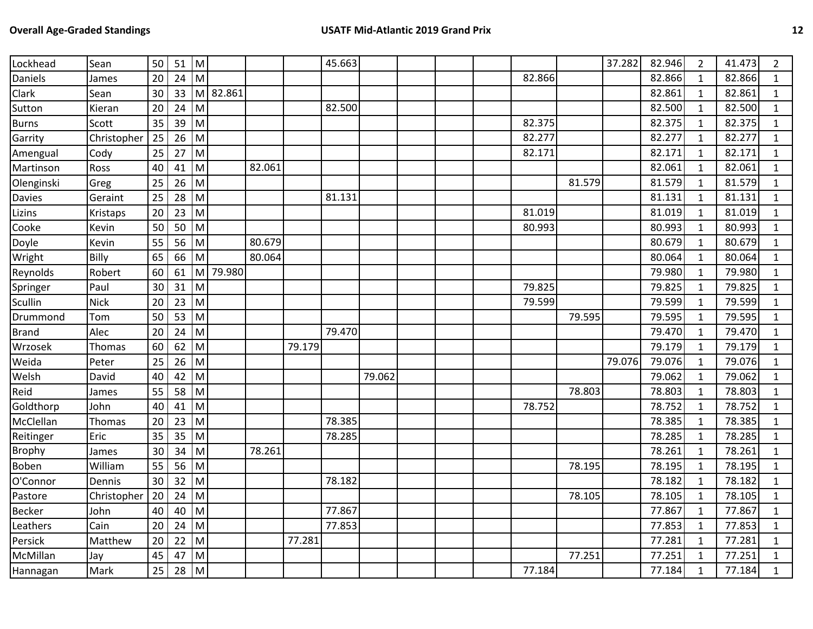| Lockhead      | Sean        | 50 | 51 | M                                                                                                          |          |        |        | 45.663 |        |  |        |        | 37.282 | 82.946 | $\overline{2}$ | 41.473 | $\overline{2}$ |
|---------------|-------------|----|----|------------------------------------------------------------------------------------------------------------|----------|--------|--------|--------|--------|--|--------|--------|--------|--------|----------------|--------|----------------|
| Daniels       | James       | 20 | 24 | M                                                                                                          |          |        |        |        |        |  | 82.866 |        |        | 82.866 | $\mathbf{1}$   | 82.866 | $\mathbf{1}$   |
| Clark         | Sean        | 30 | 33 | M                                                                                                          | 82.861   |        |        |        |        |  |        |        |        | 82.861 | 1              | 82.861 | $\mathbf{1}$   |
| Sutton        | Kieran      | 20 | 24 | M                                                                                                          |          |        |        | 82.500 |        |  |        |        |        | 82.500 | 1              | 82.500 | $\mathbf{1}$   |
| <b>Burns</b>  | Scott       | 35 | 39 | M                                                                                                          |          |        |        |        |        |  | 82.375 |        |        | 82.375 | $\mathbf{1}$   | 82.375 | $\mathbf{1}$   |
| Garrity       | Christopher | 25 | 26 | M                                                                                                          |          |        |        |        |        |  | 82.277 |        |        | 82.277 | 1              | 82.277 | $\mathbf{1}$   |
| Amengual      | Cody        | 25 | 27 | M                                                                                                          |          |        |        |        |        |  | 82.171 |        |        | 82.171 | 1              | 82.171 | $\mathbf{1}$   |
| Martinson     | Ross        | 40 | 41 | M                                                                                                          |          | 82.061 |        |        |        |  |        |        |        | 82.061 | 1              | 82.061 | $\mathbf{1}$   |
| Olenginski    | Greg        | 25 | 26 | M                                                                                                          |          |        |        |        |        |  |        | 81.579 |        | 81.579 | $\mathbf{1}$   | 81.579 | $\mathbf{1}$   |
| Davies        | Geraint     | 25 | 28 | M                                                                                                          |          |        |        | 81.131 |        |  |        |        |        | 81.131 | 1              | 81.131 | $\mathbf{1}$   |
| Lizins        | Kristaps    | 20 | 23 | M                                                                                                          |          |        |        |        |        |  | 81.019 |        |        | 81.019 | 1              | 81.019 | $\mathbf{1}$   |
| Cooke         | Kevin       | 50 | 50 | M                                                                                                          |          |        |        |        |        |  | 80.993 |        |        | 80.993 | $\mathbf{1}$   | 80.993 | $\mathbf{1}$   |
| Doyle         | Kevin       | 55 | 56 | M                                                                                                          |          | 80.679 |        |        |        |  |        |        |        | 80.679 | $\mathbf{1}$   | 80.679 | $\mathbf 1$    |
| Wright        | Billy       | 65 | 66 | M                                                                                                          |          | 80.064 |        |        |        |  |        |        |        | 80.064 | 1              | 80.064 | $\mathbf{1}$   |
| Reynolds      | Robert      | 60 | 61 |                                                                                                            | M 79.980 |        |        |        |        |  |        |        |        | 79.980 | $\mathbf{1}$   | 79.980 | $\mathbf{1}$   |
| Springer      | Paul        | 30 | 31 | M                                                                                                          |          |        |        |        |        |  | 79.825 |        |        | 79.825 | 1              | 79.825 | $\mathbf{1}$   |
| Scullin       | <b>Nick</b> | 20 | 23 | M                                                                                                          |          |        |        |        |        |  | 79.599 |        |        | 79.599 | $\mathbf{1}$   | 79.599 | $\mathbf{1}$   |
| Drummond      | Tom         | 50 | 53 | ${\sf M}$                                                                                                  |          |        |        |        |        |  |        | 79.595 |        | 79.595 | 1              | 79.595 | $\mathbf{1}$   |
| <b>Brand</b>  | Alec        | 20 | 24 | M                                                                                                          |          |        |        | 79.470 |        |  |        |        |        | 79.470 | $\mathbf{1}$   | 79.470 | $\mathbf{1}$   |
| Wrzosek       | Thomas      | 60 | 62 | M                                                                                                          |          |        | 79.179 |        |        |  |        |        |        | 79.179 | 1              | 79.179 | $\mathbf{1}$   |
| Weida         | Peter       | 25 | 26 | M                                                                                                          |          |        |        |        |        |  |        |        | 79.076 | 79.076 | $\mathbf{1}$   | 79.076 | $\mathbf{1}$   |
| Welsh         | David       | 40 | 42 | M                                                                                                          |          |        |        |        | 79.062 |  |        |        |        | 79.062 | 1              | 79.062 | $\mathbf{1}$   |
| Reid          | James       | 55 | 58 | M                                                                                                          |          |        |        |        |        |  |        | 78.803 |        | 78.803 | 1              | 78.803 | $\mathbf{1}$   |
| Goldthorp     | John        | 40 | 41 | M                                                                                                          |          |        |        |        |        |  | 78.752 |        |        | 78.752 | $\mathbf{1}$   | 78.752 | $\mathbf{1}$   |
| McClellan     | Thomas      | 20 | 23 | M                                                                                                          |          |        |        | 78.385 |        |  |        |        |        | 78.385 | 1              | 78.385 | $\mathbf{1}$   |
| Reitinger     | Eric        | 35 | 35 | ${\sf M}$                                                                                                  |          |        |        | 78.285 |        |  |        |        |        | 78.285 | 1              | 78.285 | $\mathbf{1}$   |
| <b>Brophy</b> | James       | 30 | 34 | M                                                                                                          |          | 78.261 |        |        |        |  |        |        |        | 78.261 | 1              | 78.261 | $\mathbf{1}$   |
| Boben         | William     | 55 | 56 | M                                                                                                          |          |        |        |        |        |  |        | 78.195 |        | 78.195 | 1              | 78.195 | $\mathbf{1}$   |
| O'Connor      | Dennis      | 30 | 32 | ${\sf M}$                                                                                                  |          |        |        | 78.182 |        |  |        |        |        | 78.182 | 1              | 78.182 | $\mathbf{1}$   |
| Pastore       | Christopher | 20 | 24 | M                                                                                                          |          |        |        |        |        |  |        | 78.105 |        | 78.105 | $\mathbf{1}$   | 78.105 | $\mathbf{1}$   |
| <b>Becker</b> | John        | 40 | 40 | M                                                                                                          |          |        |        | 77.867 |        |  |        |        |        | 77.867 | 1              | 77.867 | $\mathbf{1}$   |
| Leathers      | Cain        | 20 | 24 | M                                                                                                          |          |        |        | 77.853 |        |  |        |        |        | 77.853 | $\mathbf{1}$   | 77.853 | $\mathbf{1}$   |
| Persick       | Matthew     | 20 | 22 | $\mathsf{M}% _{T}=\mathsf{M}_{T}\!\left( a,b\right) ,\ \mathsf{M}_{T}=\mathsf{M}_{T}\!\left( a,b\right) ,$ |          |        | 77.281 |        |        |  |        |        |        | 77.281 | 1              | 77.281 | $\mathbf{1}$   |
| McMillan      | Jay         | 45 | 47 | M                                                                                                          |          |        |        |        |        |  |        | 77.251 |        | 77.251 | $\mathbf{1}$   | 77.251 | $\mathbf{1}$   |
| Hannagan      | Mark        | 25 | 28 | M                                                                                                          |          |        |        |        |        |  | 77.184 |        |        | 77.184 | $\mathbf{1}$   | 77.184 | $\mathbf{1}$   |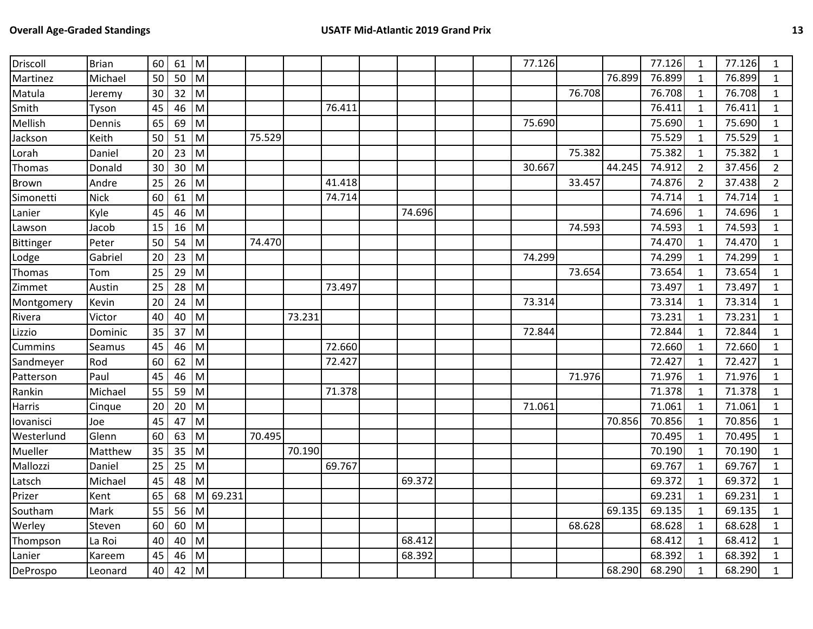| Driscoll     | <b>Brian</b> | 60 | 61 | Iм           |          |        |        |        |        |  | 77.126 |        |        | 77.126 | $\mathbf{1}$   | 77.126 | 1              |
|--------------|--------------|----|----|--------------|----------|--------|--------|--------|--------|--|--------|--------|--------|--------|----------------|--------|----------------|
| Martinez     | Michael      | 50 | 50 | M            |          |        |        |        |        |  |        |        | 76.899 | 76.899 | $\mathbf{1}$   | 76.899 | $\mathbf{1}$   |
| Matula       | Jeremy       | 30 | 32 | M            |          |        |        |        |        |  |        | 76.708 |        | 76.708 | $\mathbf{1}$   | 76.708 | 1              |
| Smith        | Tyson        | 45 | 46 | M            |          |        |        | 76.411 |        |  |        |        |        | 76.411 | $\mathbf{1}$   | 76.411 | $\mathbf{1}$   |
| Mellish      | Dennis       | 65 | 69 | M            |          |        |        |        |        |  | 75.690 |        |        | 75.690 | $\mathbf{1}$   | 75.690 | $\mathbf{1}$   |
| Jackson      | Keith        | 50 | 51 | M            |          | 75.529 |        |        |        |  |        |        |        | 75.529 | $\mathbf{1}$   | 75.529 | $\mathbf{1}$   |
| Lorah        | Daniel       | 20 | 23 | M            |          |        |        |        |        |  |        | 75.382 |        | 75.382 | $\mathbf{1}$   | 75.382 | 1              |
| Thomas       | Donald       | 30 | 30 | M            |          |        |        |        |        |  | 30.667 |        | 44.245 | 74.912 | $\overline{2}$ | 37.456 | $\overline{2}$ |
| <b>Brown</b> | Andre        | 25 | 26 | M            |          |        |        | 41.418 |        |  |        | 33.457 |        | 74.876 | $\overline{2}$ | 37.438 | $\overline{2}$ |
| Simonetti    | <b>Nick</b>  | 60 | 61 | M            |          |        |        | 74.714 |        |  |        |        |        | 74.714 | $\mathbf{1}$   | 74.714 | $\mathbf{1}$   |
| Lanier       | Kyle         | 45 | 46 | M            |          |        |        |        | 74.696 |  |        |        |        | 74.696 | $\mathbf{1}$   | 74.696 | $\mathbf{1}$   |
| Lawson       | Jacob        | 15 | 16 | $\mathsf{M}$ |          |        |        |        |        |  |        | 74.593 |        | 74.593 | $\mathbf{1}$   | 74.593 | $\mathbf{1}$   |
| Bittinger    | Peter        | 50 | 54 | M            |          | 74.470 |        |        |        |  |        |        |        | 74.470 | $\mathbf{1}$   | 74.470 | $\mathbf{1}$   |
| Lodge        | Gabriel      | 20 | 23 | M            |          |        |        |        |        |  | 74.299 |        |        | 74.299 | $\mathbf{1}$   | 74.299 | $\mathbf{1}$   |
| Thomas       | Tom          | 25 | 29 | M            |          |        |        |        |        |  |        | 73.654 |        | 73.654 | $\mathbf{1}$   | 73.654 | 1              |
| Zimmet       | Austin       | 25 | 28 | M            |          |        |        | 73.497 |        |  |        |        |        | 73.497 | $\mathbf{1}$   | 73.497 | 1              |
| Montgomery   | Kevin        | 20 | 24 | M            |          |        |        |        |        |  | 73.314 |        |        | 73.314 | $\mathbf{1}$   | 73.314 | $\mathbf{1}$   |
| Rivera       | Victor       | 40 | 40 | ${\sf M}$    |          |        | 73.231 |        |        |  |        |        |        | 73.231 | $\mathbf{1}$   | 73.231 | 1              |
| Lizzio       | Dominic      | 35 | 37 | M            |          |        |        |        |        |  | 72.844 |        |        | 72.844 | $\mathbf{1}$   | 72.844 | $\mathbf{1}$   |
| Cummins      | Seamus       | 45 | 46 | M            |          |        |        | 72.660 |        |  |        |        |        | 72.660 | $\mathbf{1}$   | 72.660 | 1              |
| Sandmeyer    | Rod          | 60 | 62 | M            |          |        |        | 72.427 |        |  |        |        |        | 72.427 | $\mathbf{1}$   | 72.427 | $\mathbf{1}$   |
| Patterson    | Paul         | 45 | 46 | M            |          |        |        |        |        |  |        | 71.976 |        | 71.976 | $\mathbf{1}$   | 71.976 | 1              |
| Rankin       | Michael      | 55 | 59 | M            |          |        |        | 71.378 |        |  |        |        |        | 71.378 | $\mathbf{1}$   | 71.378 | $\mathbf{1}$   |
| Harris       | Cinque       | 20 | 20 | M            |          |        |        |        |        |  | 71.061 |        |        | 71.061 | $\mathbf{1}$   | 71.061 | $\mathbf{1}$   |
| lovanisci    | Joe          | 45 | 47 | M            |          |        |        |        |        |  |        |        | 70.856 | 70.856 | $\mathbf{1}$   | 70.856 | 1              |
| Westerlund   | Glenn        | 60 | 63 | M            |          | 70.495 |        |        |        |  |        |        |        | 70.495 | $\mathbf{1}$   | 70.495 | $\mathbf{1}$   |
| Mueller      | Matthew      | 35 | 35 | ${\sf M}$    |          |        | 70.190 |        |        |  |        |        |        | 70.190 | $\mathbf{1}$   | 70.190 | $\mathbf{1}$   |
| Mallozzi     | Daniel       | 25 | 25 | M            |          |        |        | 69.767 |        |  |        |        |        | 69.767 | $\mathbf{1}$   | 69.767 | 1              |
| Latsch       | Michael      | 45 | 48 | M            |          |        |        |        | 69.372 |  |        |        |        | 69.372 | $\mathbf{1}$   | 69.372 | $\mathbf{1}$   |
| Prizer       | Kent         | 65 | 68 |              | M 69.231 |        |        |        |        |  |        |        |        | 69.231 | $\mathbf{1}$   | 69.231 | $\mathbf{1}$   |
| Southam      | Mark         | 55 | 56 | M            |          |        |        |        |        |  |        |        | 69.135 | 69.135 | $\mathbf{1}$   | 69.135 | $\mathbf{1}$   |
| Werley       | Steven       | 60 | 60 | M            |          |        |        |        |        |  |        | 68.628 |        | 68.628 | $\mathbf{1}$   | 68.628 | $\mathbf{1}$   |
| Thompson     | La Roi       | 40 | 40 | ${\sf M}$    |          |        |        |        | 68.412 |  |        |        |        | 68.412 | $\mathbf{1}$   | 68.412 | 1              |
| Lanier       | Kareem       | 45 | 46 | ${\sf M}$    |          |        |        |        | 68.392 |  |        |        |        | 68.392 | 1              | 68.392 | 1              |
| DeProspo     | Leonard      | 40 | 42 | M            |          |        |        |        |        |  |        |        | 68.290 | 68.290 | $\mathbf{1}$   | 68.290 | $\mathbf{1}$   |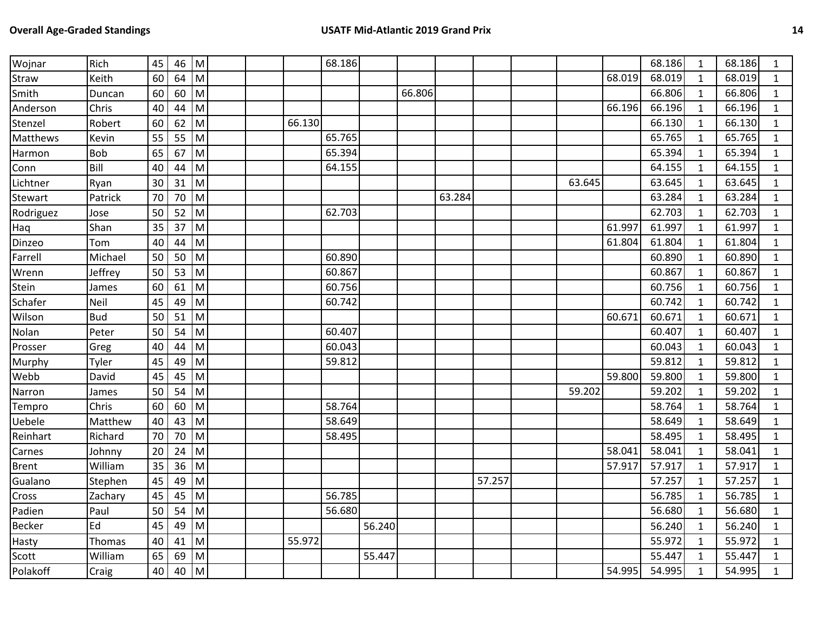| Wojnar        | Rich       | 45 | 46 | Iм                                                                                    |  |        | 68.186 |        |        |        |        |        |        | 68.186 | $\mathbf{1}$ | 68.186 | $\mathbf{1}$ |
|---------------|------------|----|----|---------------------------------------------------------------------------------------|--|--------|--------|--------|--------|--------|--------|--------|--------|--------|--------------|--------|--------------|
| Straw         | Keith      | 60 | 64 | M                                                                                     |  |        |        |        |        |        |        |        | 68.019 | 68.019 | $\mathbf{1}$ | 68.019 | $\mathbf{1}$ |
| Smith         | Duncan     | 60 | 60 | M                                                                                     |  |        |        |        | 66.806 |        |        |        |        | 66.806 | 1            | 66.806 | $\mathbf{1}$ |
| Anderson      | Chris      | 40 | 44 | M                                                                                     |  |        |        |        |        |        |        |        | 66.196 | 66.196 | $\mathbf{1}$ | 66.196 | $\mathbf{1}$ |
| Stenzel       | Robert     | 60 | 62 | M                                                                                     |  | 66.130 |        |        |        |        |        |        |        | 66.130 | $\mathbf{1}$ | 66.130 | $\mathbf{1}$ |
| Matthews      | Kevin      | 55 | 55 | M                                                                                     |  |        | 65.765 |        |        |        |        |        |        | 65.765 | $\mathbf{1}$ | 65.765 | $\mathbf{1}$ |
| Harmon        | Bob        | 65 | 67 | Iм                                                                                    |  |        | 65.394 |        |        |        |        |        |        | 65.394 | $\mathbf{1}$ | 65.394 | $\mathbf{1}$ |
| Conn          | Bill       | 40 | 44 | M                                                                                     |  |        | 64.155 |        |        |        |        |        |        | 64.155 | $\mathbf{1}$ | 64.155 | $\mathbf{1}$ |
| Lichtner      | Ryan       | 30 | 31 | M                                                                                     |  |        |        |        |        |        |        | 63.645 |        | 63.645 | $\mathbf{1}$ | 63.645 | $\mathbf{1}$ |
| Stewart       | Patrick    | 70 | 70 | M                                                                                     |  |        |        |        |        | 63.284 |        |        |        | 63.284 | $\mathbf{1}$ | 63.284 | $\mathbf{1}$ |
| Rodriguez     | Jose       | 50 | 52 | M                                                                                     |  |        | 62.703 |        |        |        |        |        |        | 62.703 | $\mathbf{1}$ | 62.703 | $\mathbf{1}$ |
| Haq           | Shan       | 35 | 37 | M                                                                                     |  |        |        |        |        |        |        |        | 61.997 | 61.997 | $\mathbf{1}$ | 61.997 | $\mathbf{1}$ |
| Dinzeo        | Tom        | 40 | 44 | M                                                                                     |  |        |        |        |        |        |        |        | 61.804 | 61.804 | $\mathbf{1}$ | 61.804 | $\mathbf{1}$ |
| Farrell       | Michael    | 50 | 50 | $\mathsf{M}% _{T}=\mathsf{M}_{T}\!\left( a,b\right) ,\ \mathsf{M}_{T}=\mathsf{M}_{T}$ |  |        | 60.890 |        |        |        |        |        |        | 60.890 | $\mathbf{1}$ | 60.890 | $\mathbf{1}$ |
| Wrenn         | Jeffrey    | 50 | 53 | M                                                                                     |  |        | 60.867 |        |        |        |        |        |        | 60.867 | $\mathbf{1}$ | 60.867 | $\mathbf{1}$ |
| Stein         | James      | 60 | 61 | M                                                                                     |  |        | 60.756 |        |        |        |        |        |        | 60.756 | $\mathbf{1}$ | 60.756 | $\mathbf{1}$ |
| Schafer       | Neil       | 45 | 49 | M                                                                                     |  |        | 60.742 |        |        |        |        |        |        | 60.742 | $\mathbf{1}$ | 60.742 | $\mathbf{1}$ |
| Wilson        | <b>Bud</b> | 50 | 51 | M                                                                                     |  |        |        |        |        |        |        |        | 60.671 | 60.671 | $\mathbf{1}$ | 60.671 | $\mathbf{1}$ |
| Nolan         | Peter      | 50 | 54 | M                                                                                     |  |        | 60.407 |        |        |        |        |        |        | 60.407 | $\mathbf{1}$ | 60.407 | $\mathbf{1}$ |
| Prosser       | Greg       | 40 | 44 | M                                                                                     |  |        | 60.043 |        |        |        |        |        |        | 60.043 | 1            | 60.043 | $\mathbf{1}$ |
| Murphy        | Tyler      | 45 | 49 | M                                                                                     |  |        | 59.812 |        |        |        |        |        |        | 59.812 | $\mathbf{1}$ | 59.812 | $\mathbf{1}$ |
| Webb          | David      | 45 | 45 | M                                                                                     |  |        |        |        |        |        |        |        | 59.800 | 59.800 | 1            | 59.800 | $\mathbf{1}$ |
| Narron        | James      | 50 | 54 | M                                                                                     |  |        |        |        |        |        |        | 59.202 |        | 59.202 | $\mathbf{1}$ | 59.202 | $\mathbf{1}$ |
| Tempro        | Chris      | 60 | 60 | M                                                                                     |  |        | 58.764 |        |        |        |        |        |        | 58.764 | 1            | 58.764 | $\mathbf{1}$ |
| Uebele        | Matthew    | 40 | 43 | M                                                                                     |  |        | 58.649 |        |        |        |        |        |        | 58.649 | $\mathbf{1}$ | 58.649 | $\mathbf{1}$ |
| Reinhart      | Richard    | 70 | 70 | M                                                                                     |  |        | 58.495 |        |        |        |        |        |        | 58.495 | $\mathbf{1}$ | 58.495 | $\mathbf{1}$ |
| Carnes        | Johnny     | 20 | 24 | M                                                                                     |  |        |        |        |        |        |        |        | 58.041 | 58.041 | $\mathbf{1}$ | 58.041 | $\mathbf{1}$ |
| <b>Brent</b>  | William    | 35 | 36 | M                                                                                     |  |        |        |        |        |        |        |        | 57.917 | 57.917 | 1            | 57.917 | $\mathbf{1}$ |
| Gualano       | Stephen    | 45 | 49 | M                                                                                     |  |        |        |        |        |        | 57.257 |        |        | 57.257 | $\mathbf{1}$ | 57.257 | $\mathbf{1}$ |
| Cross         | Zachary    | 45 | 45 | M                                                                                     |  |        | 56.785 |        |        |        |        |        |        | 56.785 | $\mathbf{1}$ | 56.785 | $\mathbf{1}$ |
| Padien        | Paul       | 50 | 54 | M                                                                                     |  |        | 56.680 |        |        |        |        |        |        | 56.680 | $\mathbf{1}$ | 56.680 | $\mathbf{1}$ |
| <b>Becker</b> | Ed         | 45 | 49 | M                                                                                     |  |        |        | 56.240 |        |        |        |        |        | 56.240 | $\mathbf{1}$ | 56.240 | $\mathbf{1}$ |
| Hasty         | Thomas     | 40 | 41 | M                                                                                     |  | 55.972 |        |        |        |        |        |        |        | 55.972 | 1            | 55.972 | $\mathbf{1}$ |
| Scott         | William    | 65 | 69 | M                                                                                     |  |        |        | 55.447 |        |        |        |        |        | 55.447 | 1            | 55.447 | $\mathbf{1}$ |
| Polakoff      | Craig      | 40 | 40 | M                                                                                     |  |        |        |        |        |        |        |        | 54.995 | 54.995 | 1            | 54.995 | $\mathbf{1}$ |